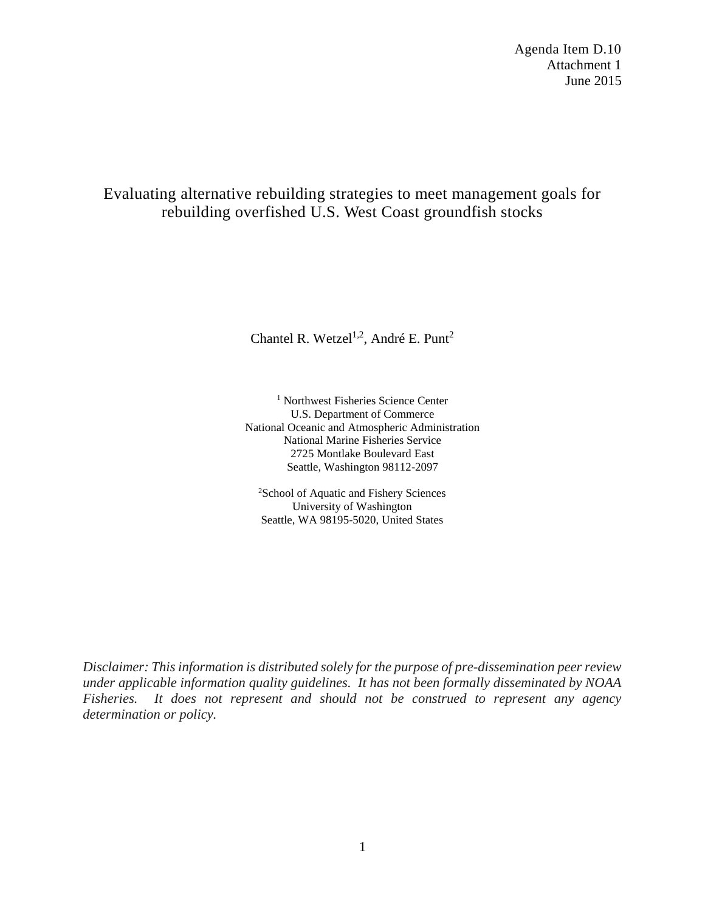Agenda Item D.10 Attachment 1 June 2015

# Evaluating alternative rebuilding strategies to meet management goals for rebuilding overfished U.S. West Coast groundfish stocks

Chantel R. Wetzel<sup>1,2</sup>, André E. Punt<sup>2</sup>

<sup>1</sup> Northwest Fisheries Science Center U.S. Department of Commerce National Oceanic and Atmospheric Administration National Marine Fisheries Service 2725 Montlake Boulevard East Seattle, Washington 98112-2097

2 School of Aquatic and Fishery Sciences University of Washington Seattle, WA 98195-5020, United States

*Disclaimer: This information is distributed solely for the purpose of pre-dissemination peer review under applicable information quality guidelines. It has not been formally disseminated by NOAA Fisheries. It does not represent and should not be construed to represent any agency determination or policy.*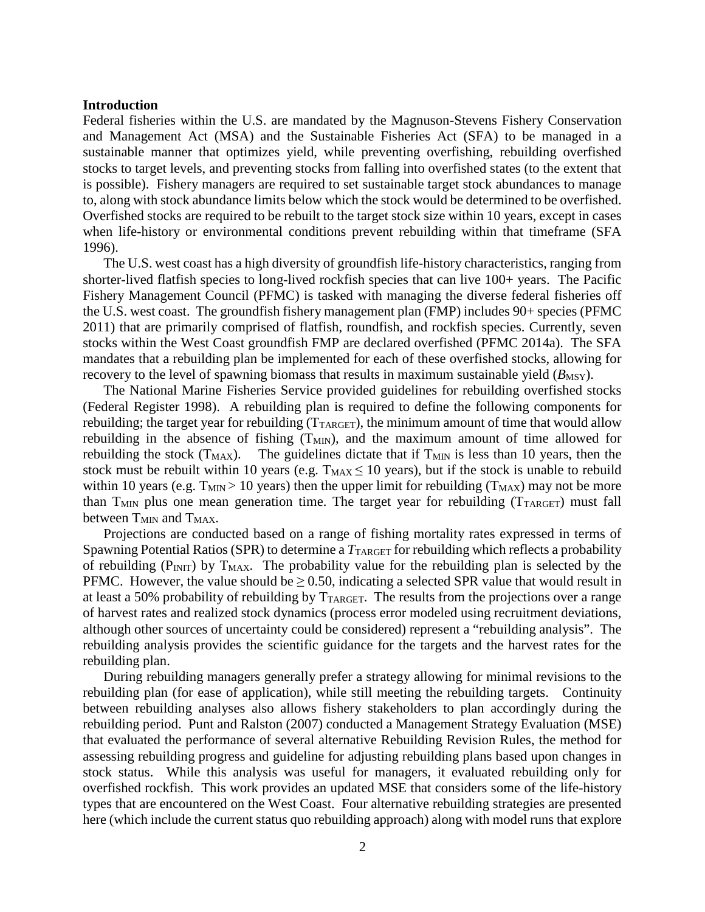### **Introduction**

Federal fisheries within the U.S. are mandated by the Magnuson-Stevens Fishery Conservation and Management Act (MSA) and the Sustainable Fisheries Act (SFA) to be managed in a sustainable manner that optimizes yield, while preventing overfishing, rebuilding overfished stocks to target levels, and preventing stocks from falling into overfished states (to the extent that is possible). Fishery managers are required to set sustainable target stock abundances to manage to, along with stock abundance limits below which the stock would be determined to be overfished. Overfished stocks are required to be rebuilt to the target stock size within 10 years, except in cases when life-history or environmental conditions prevent rebuilding within that timeframe (SFA 1996).

The U.S. west coast has a high diversity of groundfish life-history characteristics, ranging from shorter-lived flatfish species to long-lived rockfish species that can live 100+ years. The Pacific Fishery Management Council (PFMC) is tasked with managing the diverse federal fisheries off the U.S. west coast. The groundfish fishery management plan (FMP) includes 90+ species (PFMC 2011) that are primarily comprised of flatfish, roundfish, and rockfish species. Currently, seven stocks within the West Coast groundfish FMP are declared overfished (PFMC 2014a). The SFA mandates that a rebuilding plan be implemented for each of these overfished stocks, allowing for recovery to the level of spawning biomass that results in maximum sustainable yield  $(B_{\text{MSY}})$ .

The National Marine Fisheries Service provided guidelines for rebuilding overfished stocks (Federal Register 1998). A rebuilding plan is required to define the following components for rebuilding; the target year for rebuilding  $(T_{TARGE})$ , the minimum amount of time that would allow rebuilding in the absence of fishing  $(T_{MIN})$ , and the maximum amount of time allowed for rebuilding the stock  $(T_{MAX})$ . The guidelines dictate that if  $T_{MIN}$  is less than 10 years, then the stock must be rebuilt within 10 years (e.g.  $T_{MAX} \le 10$  years), but if the stock is unable to rebuild within 10 years (e.g.  $T_{MIN} > 10$  years) then the upper limit for rebuilding ( $T_{MAX}$ ) may not be more than  $T<sub>MIN</sub>$  plus one mean generation time. The target year for rebuilding  $(T<sub>TARGE</sub>)$  must fall between T<sub>MIN</sub> and T<sub>MAX</sub>.

Projections are conducted based on a range of fishing mortality rates expressed in terms of Spawning Potential Ratios (SPR) to determine a  $T_{\text{TARGE}}$  for rebuilding which reflects a probability of rebuilding ( $P_{\text{INT}}$ ) by  $T_{\text{MAX}}$ . The probability value for the rebuilding plan is selected by the PFMC. However, the value should be  $\geq$  0.50, indicating a selected SPR value that would result in at least a 50% probability of rebuilding by  $T_{TARGE}$ . The results from the projections over a range of harvest rates and realized stock dynamics (process error modeled using recruitment deviations, although other sources of uncertainty could be considered) represent a "rebuilding analysis". The rebuilding analysis provides the scientific guidance for the targets and the harvest rates for the rebuilding plan.

During rebuilding managers generally prefer a strategy allowing for minimal revisions to the rebuilding plan (for ease of application), while still meeting the rebuilding targets. Continuity between rebuilding analyses also allows fishery stakeholders to plan accordingly during the rebuilding period. Punt and Ralston (2007) conducted a Management Strategy Evaluation (MSE) that evaluated the performance of several alternative Rebuilding Revision Rules, the method for assessing rebuilding progress and guideline for adjusting rebuilding plans based upon changes in stock status. While this analysis was useful for managers, it evaluated rebuilding only for overfished rockfish. This work provides an updated MSE that considers some of the life-history types that are encountered on the West Coast. Four alternative rebuilding strategies are presented here (which include the current status quo rebuilding approach) along with model runs that explore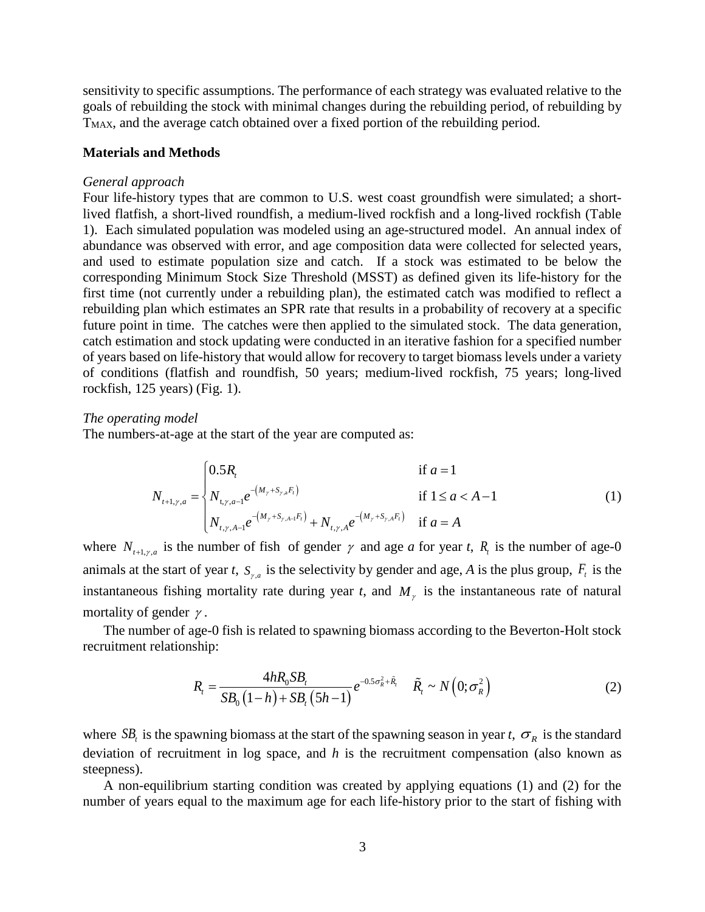sensitivity to specific assumptions. The performance of each strategy was evaluated relative to the goals of rebuilding the stock with minimal changes during the rebuilding period, of rebuilding by T<sub>MAX</sub>, and the average catch obtained over a fixed portion of the rebuilding period.

### **Materials and Methods**

#### *General approach*

Four life-history types that are common to U.S. west coast groundfish were simulated; a shortlived flatfish, a short-lived roundfish, a medium-lived rockfish and a long-lived rockfish (Table 1). Each simulated population was modeled using an age-structured model. An annual index of abundance was observed with error, and age composition data were collected for selected years, and used to estimate population size and catch. If a stock was estimated to be below the corresponding Minimum Stock Size Threshold (MSST) as defined given its life-history for the first time (not currently under a rebuilding plan), the estimated catch was modified to reflect a rebuilding plan which estimates an SPR rate that results in a probability of recovery at a specific future point in time. The catches were then applied to the simulated stock. The data generation, catch estimation and stock updating were conducted in an iterative fashion for a specified number of years based on life-history that would allow for recovery to target biomass levels under a variety of conditions (flatfish and roundfish, 50 years; medium-lived rockfish, 75 years; long-lived rockfish, 125 years) (Fig. 1).

#### *The operating model*

The numbers-at-age at the start of the year are computed as:

$$
N_{t+1,\gamma,a} = \begin{cases} 0.5R_t & \text{if } a = 1\\ N_{t,\gamma,a-1}e^{-(M_{\gamma} + S_{\gamma,a}F_t)} & \text{if } 1 \le a < A-1\\ N_{t,\gamma,A-1}e^{-(M_{\gamma} + S_{\gamma,A-1}F_t)} + N_{t,\gamma,A}e^{-(M_{\gamma} + S_{\gamma,A}F_t)} & \text{if } a = A \end{cases}
$$
(1)

where  $N_{t+1, \gamma, a}$  is the number of fish of gender  $\gamma$  and age *a* for year *t*,  $R_t$  is the number of age-0 animals at the start of year *t*,  $S_{\gamma,a}$  is the selectivity by gender and age, *A* is the plus group,  $F_t$  is the instantaneous fishing mortality rate during year *t*, and  $M<sub>y</sub>$  is the instantaneous rate of natural mortality of gender  $\gamma$ .

The number of age-0 fish is related to spawning biomass according to the Beverton-Holt stock recruitment relationship:

$$
R_{t} = \frac{4hR_{0}SB_{t}}{SB_{0}(1-h) + SB_{t}(5h-1)}e^{-0.5\sigma_{R}^{2} + \tilde{R}_{t}} \quad \tilde{R}_{t} \sim N(0;\sigma_{R}^{2})
$$
(2)

where  $SB_t$  is the spawning biomass at the start of the spawning season in year *t*,  $\sigma_R$  is the standard deviation of recruitment in log space, and *h* is the recruitment compensation (also known as steepness).

A non-equilibrium starting condition was created by applying equations (1) and (2) for the number of years equal to the maximum age for each life-history prior to the start of fishing with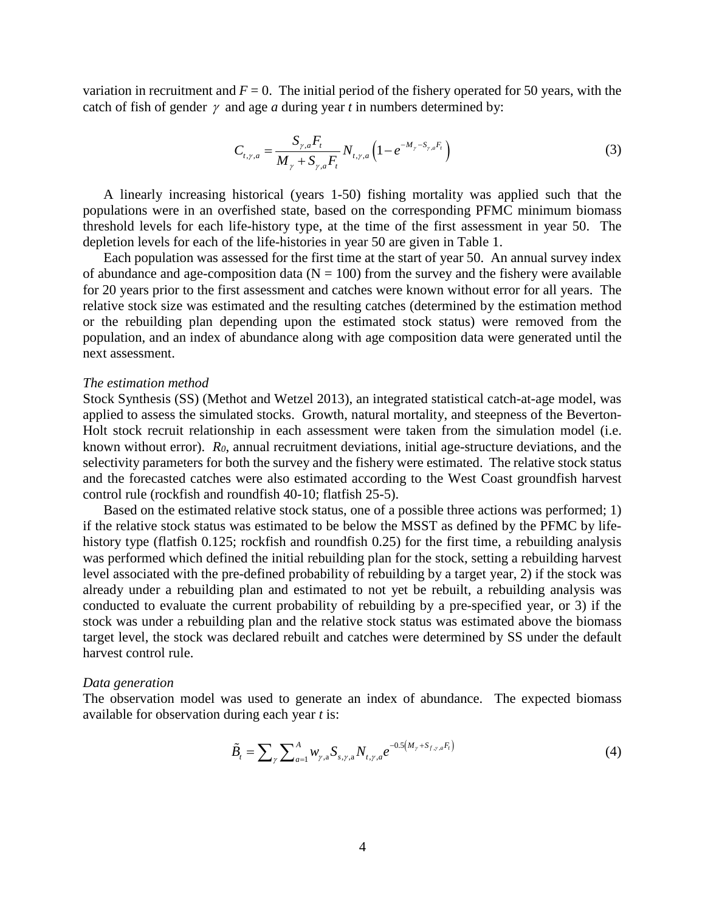variation in recruitment and  $F = 0$ . The initial period of the fishery operated for 50 years, with the catch of fish of gender  $\gamma$  and age *a* during year *t* in numbers determined by:

$$
C_{t,\gamma,a} = \frac{S_{\gamma,a}F_t}{M_{\gamma} + S_{\gamma,a}F_t} N_{t,\gamma,a} \left(1 - e^{-M_{\gamma} - S_{\gamma,a}F_t}\right)
$$
(3)

A linearly increasing historical (years 1-50) fishing mortality was applied such that the populations were in an overfished state, based on the corresponding PFMC minimum biomass threshold levels for each life-history type, at the time of the first assessment in year 50. The depletion levels for each of the life-histories in year 50 are given in Table 1.

Each population was assessed for the first time at the start of year 50. An annual survey index of abundance and age-composition data ( $N = 100$ ) from the survey and the fishery were available for 20 years prior to the first assessment and catches were known without error for all years. The relative stock size was estimated and the resulting catches (determined by the estimation method or the rebuilding plan depending upon the estimated stock status) were removed from the population, and an index of abundance along with age composition data were generated until the next assessment.

#### *The estimation method*

Stock Synthesis (SS) (Methot and Wetzel 2013), an integrated statistical catch-at-age model, was applied to assess the simulated stocks. Growth, natural mortality, and steepness of the Beverton-Holt stock recruit relationship in each assessment were taken from the simulation model (i.e. known without error). *R0*, annual recruitment deviations, initial age-structure deviations, and the selectivity parameters for both the survey and the fishery were estimated. The relative stock status and the forecasted catches were also estimated according to the West Coast groundfish harvest control rule (rockfish and roundfish 40-10; flatfish 25-5).

Based on the estimated relative stock status, one of a possible three actions was performed; 1) if the relative stock status was estimated to be below the MSST as defined by the PFMC by lifehistory type (flatfish 0.125; rockfish and roundfish 0.25) for the first time, a rebuilding analysis was performed which defined the initial rebuilding plan for the stock, setting a rebuilding harvest level associated with the pre-defined probability of rebuilding by a target year, 2) if the stock was already under a rebuilding plan and estimated to not yet be rebuilt, a rebuilding analysis was conducted to evaluate the current probability of rebuilding by a pre-specified year, or 3) if the stock was under a rebuilding plan and the relative stock status was estimated above the biomass target level, the stock was declared rebuilt and catches were determined by SS under the default harvest control rule.

#### *Data generation*

The observation model was used to generate an index of abundance. The expected biomass available for observation during each year *t* is:

$$
\tilde{B}_t = \sum_{\gamma} \sum_{a=1}^A w_{\gamma,a} S_{s,\gamma,a} N_{t,\gamma,a} e^{-0.5(M_{\gamma} + S_{f,\gamma,a} F_t)}
$$
(4)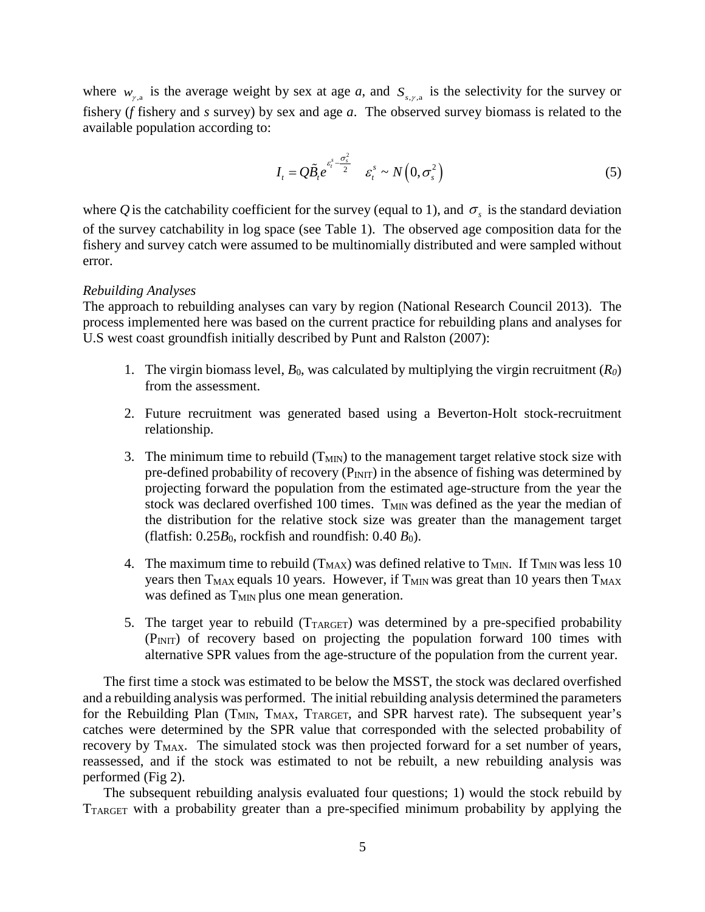where  $w_{\gamma a}$  is the average weight by sex at age *a*, and  $S_{\gamma \gamma a}$  is the selectivity for the survey or fishery (*f* fishery and *s* survey) by sex and age *a*. The observed survey biomass is related to the available population according to:

$$
I_t = Q\widetilde{B}_t e^{\varepsilon_t^s \frac{\sigma_s^2}{2}} \quad \varepsilon_t^s \sim N\left(0, \sigma_s^2\right) \tag{5}
$$

where *Q* is the catchability coefficient for the survey (equal to 1), and  $\sigma_s$  is the standard deviation of the survey catchability in log space (see Table 1). The observed age composition data for the fishery and survey catch were assumed to be multinomially distributed and were sampled without error.

### *Rebuilding Analyses*

The approach to rebuilding analyses can vary by region (National Research Council 2013). The process implemented here was based on the current practice for rebuilding plans and analyses for U.S west coast groundfish initially described by Punt and Ralston (2007):

- 1. The virgin biomass level,  $B_0$ , was calculated by multiplying the virgin recruitment  $(R_0)$ from the assessment.
- 2. Future recruitment was generated based using a Beverton-Holt stock-recruitment relationship.
- 3. The minimum time to rebuild  $(T_{MIN})$  to the management target relative stock size with pre-defined probability of recovery  $(P_{INT})$  in the absence of fishing was determined by projecting forward the population from the estimated age-structure from the year the stock was declared overfished 100 times.  $T<sub>MIN</sub>$  was defined as the year the median of the distribution for the relative stock size was greater than the management target (flatfish:  $0.25B_0$ , rockfish and roundfish:  $0.40B_0$ ).
- 4. The maximum time to rebuild  $(T_{MAX})$  was defined relative to  $T_{MIN}$ . If  $T_{MIN}$  was less 10 years then  $T_{MAX}$  equals 10 years. However, if  $T_{MIN}$  was great than 10 years then  $T_{MAX}$ was defined as  $T<sub>MIN</sub>$  plus one mean generation.
- 5. The target year to rebuild  $(T_{TARGE})$  was determined by a pre-specified probability  $(P_{INT})$  of recovery based on projecting the population forward 100 times with alternative SPR values from the age-structure of the population from the current year.

The first time a stock was estimated to be below the MSST, the stock was declared overfished and a rebuilding analysis was performed. The initial rebuilding analysis determined the parameters for the Rebuilding Plan ( $T_{MIN}$ ,  $T_{MAX}$ ,  $T_{TARGE}$ , and SPR harvest rate). The subsequent year's catches were determined by the SPR value that corresponded with the selected probability of recovery by T<sub>MAX</sub>. The simulated stock was then projected forward for a set number of years, reassessed, and if the stock was estimated to not be rebuilt, a new rebuilding analysis was performed (Fig 2).

The subsequent rebuilding analysis evaluated four questions; 1) would the stock rebuild by TTARGET with a probability greater than a pre-specified minimum probability by applying the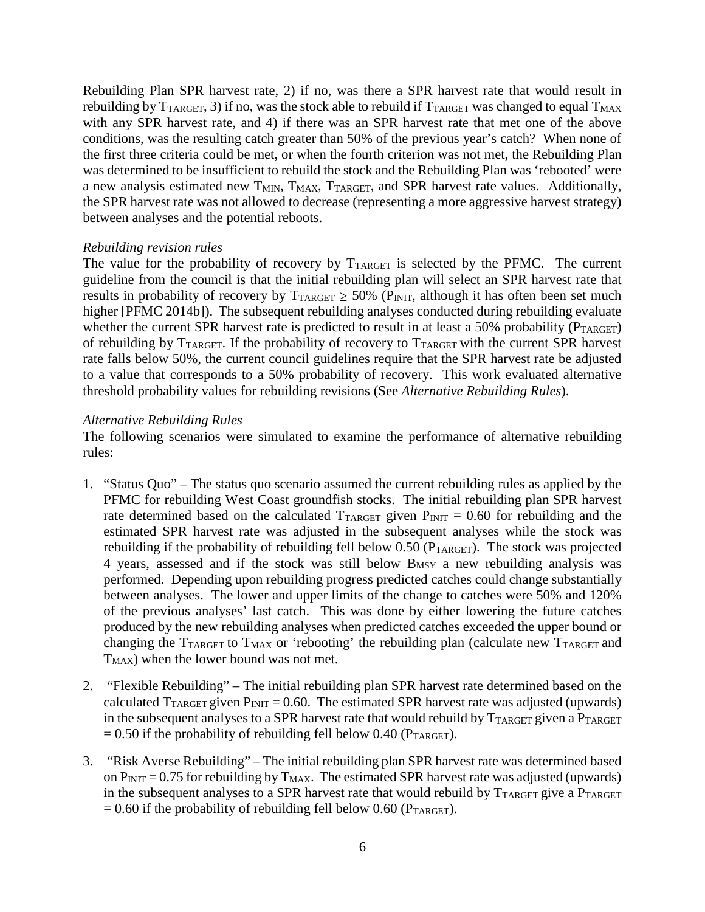Rebuilding Plan SPR harvest rate, 2) if no, was there a SPR harvest rate that would result in rebuilding by  $T_{TARGET}$ , 3) if no, was the stock able to rebuild if  $T_{TARGET}$  was changed to equal  $T_{MAX}$ with any SPR harvest rate, and 4) if there was an SPR harvest rate that met one of the above conditions, was the resulting catch greater than 50% of the previous year's catch? When none of the first three criteria could be met, or when the fourth criterion was not met, the Rebuilding Plan was determined to be insufficient to rebuild the stock and the Rebuilding Plan was 'rebooted' were a new analysis estimated new T<sub>MIN</sub>, T<sub>MAX</sub>, T<sub>TARGET</sub>, and SPR harvest rate values. Additionally, the SPR harvest rate was not allowed to decrease (representing a more aggressive harvest strategy) between analyses and the potential reboots.

## *Rebuilding revision rules*

The value for the probability of recovery by  $T_{TARGE}$  is selected by the PFMC. The current guideline from the council is that the initial rebuilding plan will select an SPR harvest rate that results in probability of recovery by  $T_{TARGET} \ge 50\%$  (P<sub>INIT</sub>, although it has often been set much higher [PFMC 2014b]). The subsequent rebuilding analyses conducted during rebuilding evaluate whether the current SPR harvest rate is predicted to result in at least a 50% probability ( $P_{TARGE}$ ) of rebuilding by  $T_{TARGE}$ . If the probability of recovery to  $T_{TARGE}$  with the current SPR harvest rate falls below 50%, the current council guidelines require that the SPR harvest rate be adjusted to a value that corresponds to a 50% probability of recovery. This work evaluated alternative threshold probability values for rebuilding revisions (See *Alternative Rebuilding Rules*).

## *Alternative Rebuilding Rules*

The following scenarios were simulated to examine the performance of alternative rebuilding rules:

- 1. "Status Quo" The status quo scenario assumed the current rebuilding rules as applied by the PFMC for rebuilding West Coast groundfish stocks. The initial rebuilding plan SPR harvest rate determined based on the calculated  $T_{TARGE}$  given  $P_{\text{INIT}} = 0.60$  for rebuilding and the estimated SPR harvest rate was adjusted in the subsequent analyses while the stock was rebuilding if the probability of rebuilding fell below  $0.50$  ( $P_{TARGET}$ ). The stock was projected 4 years, assessed and if the stock was still below B<sub>MSY</sub> a new rebuilding analysis was performed. Depending upon rebuilding progress predicted catches could change substantially between analyses. The lower and upper limits of the change to catches were 50% and 120% of the previous analyses' last catch. This was done by either lowering the future catches produced by the new rebuilding analyses when predicted catches exceeded the upper bound or changing the  $T_{\text{TARGE}}$  to  $T_{\text{MAX}}$  or 'rebooting' the rebuilding plan (calculate new  $T_{\text{TARGE}}$  and  $T_{MAX}$ ) when the lower bound was not met.
- 2. "Flexible Rebuilding" The initial rebuilding plan SPR harvest rate determined based on the calculated  $T_{TARGE}$  given  $P_{INT} = 0.60$ . The estimated SPR harvest rate was adjusted (upwards) in the subsequent analyses to a SPR harvest rate that would rebuild by  $T_{TARGET}$  given a  $P_{TARGET}$  $= 0.50$  if the probability of rebuilding fell below 0.40 ( $P_{TARGET}$ ).
- 3. "Risk Averse Rebuilding" The initial rebuilding plan SPR harvest rate was determined based on  $P_{INT} = 0.75$  for rebuilding by  $T_{MAX}$ . The estimated SPR harvest rate was adjusted (upwards) in the subsequent analyses to a SPR harvest rate that would rebuild by  $T_{TARGE}$  give a  $P_{TARGE}$  $= 0.60$  if the probability of rebuilding fell below 0.60 (PTARGET).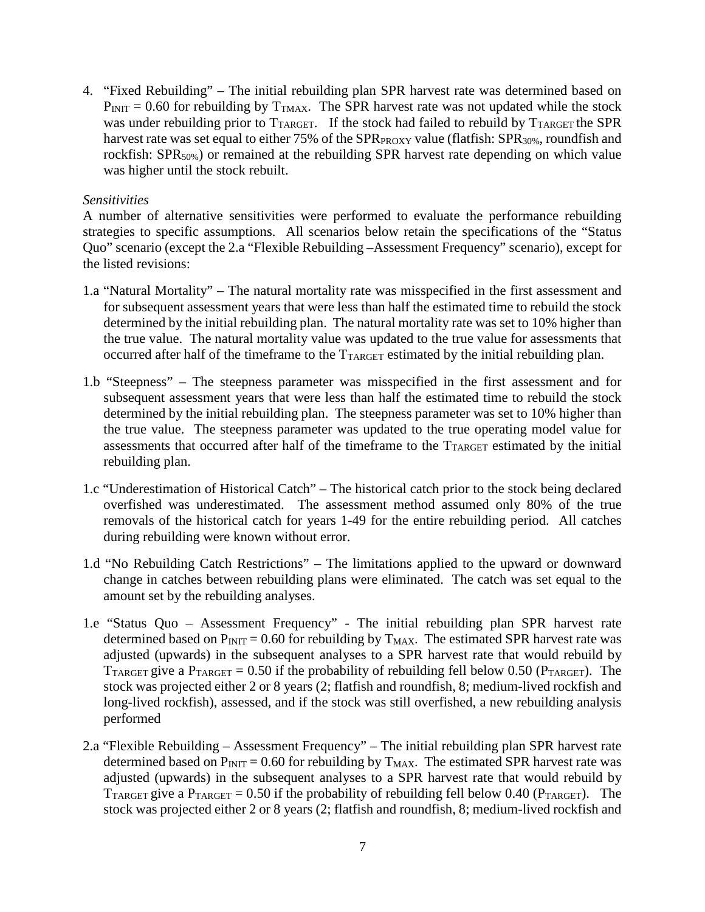4. "Fixed Rebuilding" – The initial rebuilding plan SPR harvest rate was determined based on  $P_{\text{INIT}} = 0.60$  for rebuilding by  $T_{\text{TMAX}}$ . The SPR harvest rate was not updated while the stock was under rebuilding prior to  $T_{\text{TARGE}}$ . If the stock had failed to rebuild by  $T_{\text{TARGE}}$  the SPR harvest rate was set equal to either 75% of the SPR<sub>PROXY</sub> value (flatfish: SPR<sub>30%</sub>, roundfish and rockfish: SPR<sub>50%</sub>) or remained at the rebuilding SPR harvest rate depending on which value was higher until the stock rebuilt.

# *Sensitivities*

A number of alternative sensitivities were performed to evaluate the performance rebuilding strategies to specific assumptions. All scenarios below retain the specifications of the "Status Quo" scenario (except the 2.a "Flexible Rebuilding –Assessment Frequency" scenario), except for the listed revisions:

- 1.a "Natural Mortality" The natural mortality rate was misspecified in the first assessment and for subsequent assessment years that were less than half the estimated time to rebuild the stock determined by the initial rebuilding plan. The natural mortality rate was set to 10% higher than the true value. The natural mortality value was updated to the true value for assessments that occurred after half of the timeframe to the T<sub>TARGET</sub> estimated by the initial rebuilding plan.
- 1.b "Steepness" The steepness parameter was misspecified in the first assessment and for subsequent assessment years that were less than half the estimated time to rebuild the stock determined by the initial rebuilding plan. The steepness parameter was set to 10% higher than the true value. The steepness parameter was updated to the true operating model value for assessments that occurred after half of the timeframe to the TTARGET estimated by the initial rebuilding plan.
- 1.c "Underestimation of Historical Catch" The historical catch prior to the stock being declared overfished was underestimated. The assessment method assumed only 80% of the true removals of the historical catch for years 1-49 for the entire rebuilding period. All catches during rebuilding were known without error.
- 1.d "No Rebuilding Catch Restrictions" The limitations applied to the upward or downward change in catches between rebuilding plans were eliminated. The catch was set equal to the amount set by the rebuilding analyses.
- 1.e "Status Quo Assessment Frequency" The initial rebuilding plan SPR harvest rate determined based on  $P_{INT} = 0.60$  for rebuilding by  $T_{MAX}$ . The estimated SPR harvest rate was adjusted (upwards) in the subsequent analyses to a SPR harvest rate that would rebuild by TTARGET give a PTARGET = 0.50 if the probability of rebuilding fell below 0.50 (PTARGET). The stock was projected either 2 or 8 years (2; flatfish and roundfish, 8; medium-lived rockfish and long-lived rockfish), assessed, and if the stock was still overfished, a new rebuilding analysis performed
- 2.a "Flexible Rebuilding Assessment Frequency" The initial rebuilding plan SPR harvest rate determined based on  $P_{INT} = 0.60$  for rebuilding by  $T_{MAX}$ . The estimated SPR harvest rate was adjusted (upwards) in the subsequent analyses to a SPR harvest rate that would rebuild by T<sub>TARGET</sub> give a  $P_{TARGET} = 0.50$  if the probability of rebuilding fell below 0.40 ( $P_{TARGET}$ ). The stock was projected either 2 or 8 years (2; flatfish and roundfish, 8; medium-lived rockfish and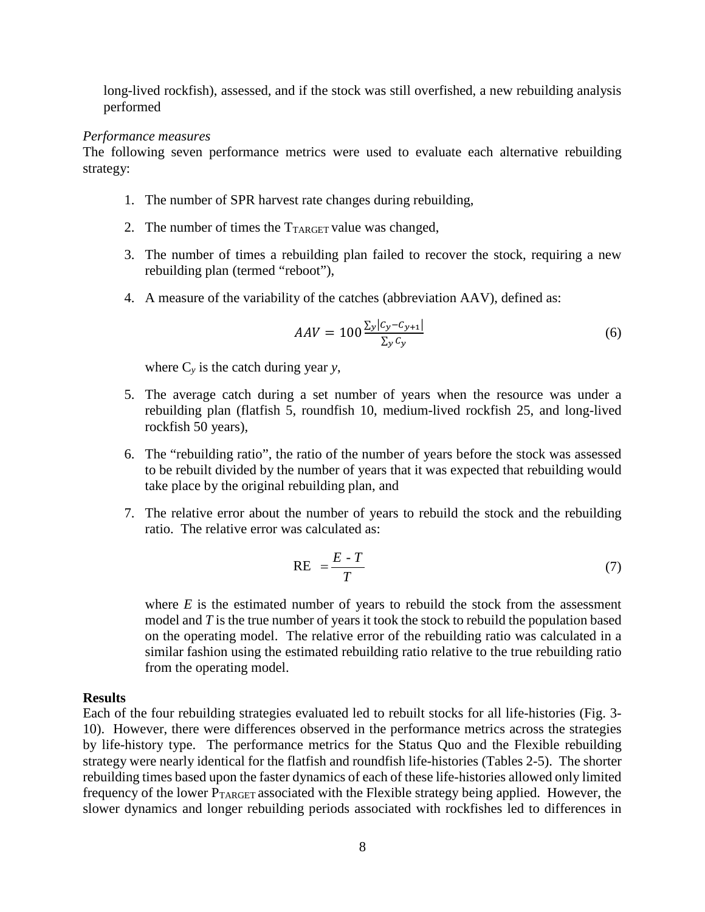long-lived rockfish), assessed, and if the stock was still overfished, a new rebuilding analysis performed

#### *Performance measures*

The following seven performance metrics were used to evaluate each alternative rebuilding strategy:

- 1. The number of SPR harvest rate changes during rebuilding,
- 2. The number of times the  $T_{TARGE}$  value was changed,
- 3. The number of times a rebuilding plan failed to recover the stock, requiring a new rebuilding plan (termed "reboot"),
- 4. A measure of the variability of the catches (abbreviation AAV), defined as:

$$
AAV = 100 \frac{\sum_{y} |c_y - c_{y+1}|}{\sum_{y} c_y} \tag{6}
$$

where  $C_v$  is the catch during year *y*,

- 5. The average catch during a set number of years when the resource was under a rebuilding plan (flatfish 5, roundfish 10, medium-lived rockfish 25, and long-lived rockfish 50 years),
- 6. The "rebuilding ratio", the ratio of the number of years before the stock was assessed to be rebuilt divided by the number of years that it was expected that rebuilding would take place by the original rebuilding plan, and
- 7. The relative error about the number of years to rebuild the stock and the rebuilding ratio. The relative error was calculated as:

$$
RE = \frac{E - T}{T} \tag{7}
$$

where  $E$  is the estimated number of years to rebuild the stock from the assessment model and *T* is the true number of years it took the stock to rebuild the population based on the operating model. The relative error of the rebuilding ratio was calculated in a similar fashion using the estimated rebuilding ratio relative to the true rebuilding ratio from the operating model.

### **Results**

Each of the four rebuilding strategies evaluated led to rebuilt stocks for all life-histories (Fig. 3- 10). However, there were differences observed in the performance metrics across the strategies by life-history type. The performance metrics for the Status Quo and the Flexible rebuilding strategy were nearly identical for the flatfish and roundfish life-histories (Tables 2-5). The shorter rebuilding times based upon the faster dynamics of each of these life-histories allowed only limited frequency of the lower  $P_{TARGE}$  associated with the Flexible strategy being applied. However, the slower dynamics and longer rebuilding periods associated with rockfishes led to differences in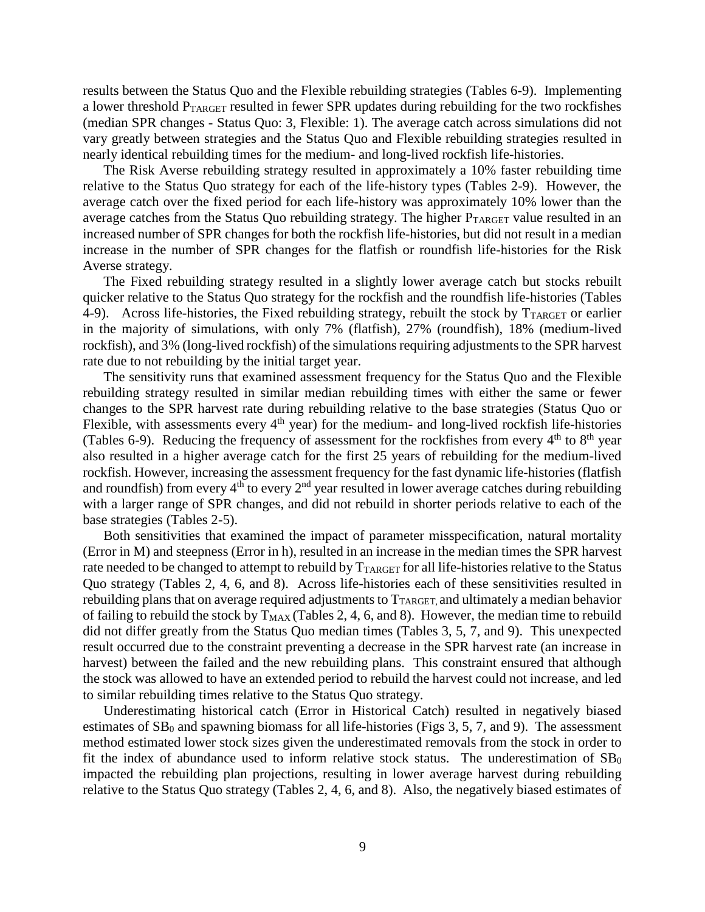results between the Status Quo and the Flexible rebuilding strategies (Tables 6-9). Implementing a lower threshold PTARGET resulted in fewer SPR updates during rebuilding for the two rockfishes (median SPR changes - Status Quo: 3, Flexible: 1). The average catch across simulations did not vary greatly between strategies and the Status Quo and Flexible rebuilding strategies resulted in nearly identical rebuilding times for the medium- and long-lived rockfish life-histories.

The Risk Averse rebuilding strategy resulted in approximately a 10% faster rebuilding time relative to the Status Quo strategy for each of the life-history types (Tables 2-9). However, the average catch over the fixed period for each life-history was approximately 10% lower than the average catches from the Status Quo rebuilding strategy. The higher  $P_{TARGET}$  value resulted in an increased number of SPR changes for both the rockfish life-histories, but did not result in a median increase in the number of SPR changes for the flatfish or roundfish life-histories for the Risk Averse strategy.

The Fixed rebuilding strategy resulted in a slightly lower average catch but stocks rebuilt quicker relative to the Status Quo strategy for the rockfish and the roundfish life-histories (Tables 4-9). Across life-histories, the Fixed rebuilding strategy, rebuilt the stock by  $T_{TARGET}$  or earlier in the majority of simulations, with only 7% (flatfish), 27% (roundfish), 18% (medium-lived rockfish), and 3% (long-lived rockfish) of the simulations requiring adjustments to the SPR harvest rate due to not rebuilding by the initial target year.

The sensitivity runs that examined assessment frequency for the Status Quo and the Flexible rebuilding strategy resulted in similar median rebuilding times with either the same or fewer changes to the SPR harvest rate during rebuilding relative to the base strategies (Status Quo or Flexible, with assessments every  $4<sup>th</sup>$  year) for the medium- and long-lived rockfish life-histories (Tables 6-9). Reducing the frequency of assessment for the rockfishes from every  $4<sup>th</sup>$  to  $8<sup>th</sup>$  year also resulted in a higher average catch for the first 25 years of rebuilding for the medium-lived rockfish. However, increasing the assessment frequency for the fast dynamic life-histories (flatfish and roundfish) from every  $4<sup>th</sup>$  to every  $2<sup>nd</sup>$  year resulted in lower average catches during rebuilding with a larger range of SPR changes, and did not rebuild in shorter periods relative to each of the base strategies (Tables 2-5).

Both sensitivities that examined the impact of parameter misspecification, natural mortality (Error in M) and steepness (Error in h), resulted in an increase in the median times the SPR harvest rate needed to be changed to attempt to rebuild by  $T_{TARGE}$  for all life-histories relative to the Status Quo strategy (Tables 2, 4, 6, and 8). Across life-histories each of these sensitivities resulted in rebuilding plans that on average required adjustments to  $T_{TARGE}$  and ultimately a median behavior of failing to rebuild the stock by  $T_{MAX}$  (Tables 2, 4, 6, and 8). However, the median time to rebuild did not differ greatly from the Status Quo median times (Tables 3, 5, 7, and 9). This unexpected result occurred due to the constraint preventing a decrease in the SPR harvest rate (an increase in harvest) between the failed and the new rebuilding plans. This constraint ensured that although the stock was allowed to have an extended period to rebuild the harvest could not increase, and led to similar rebuilding times relative to the Status Quo strategy.

Underestimating historical catch (Error in Historical Catch) resulted in negatively biased estimates of  $SB_0$  and spawning biomass for all life-histories (Figs 3, 5, 7, and 9). The assessment method estimated lower stock sizes given the underestimated removals from the stock in order to fit the index of abundance used to inform relative stock status. The underestimation of  $SB_0$ impacted the rebuilding plan projections, resulting in lower average harvest during rebuilding relative to the Status Quo strategy (Tables 2, 4, 6, and 8). Also, the negatively biased estimates of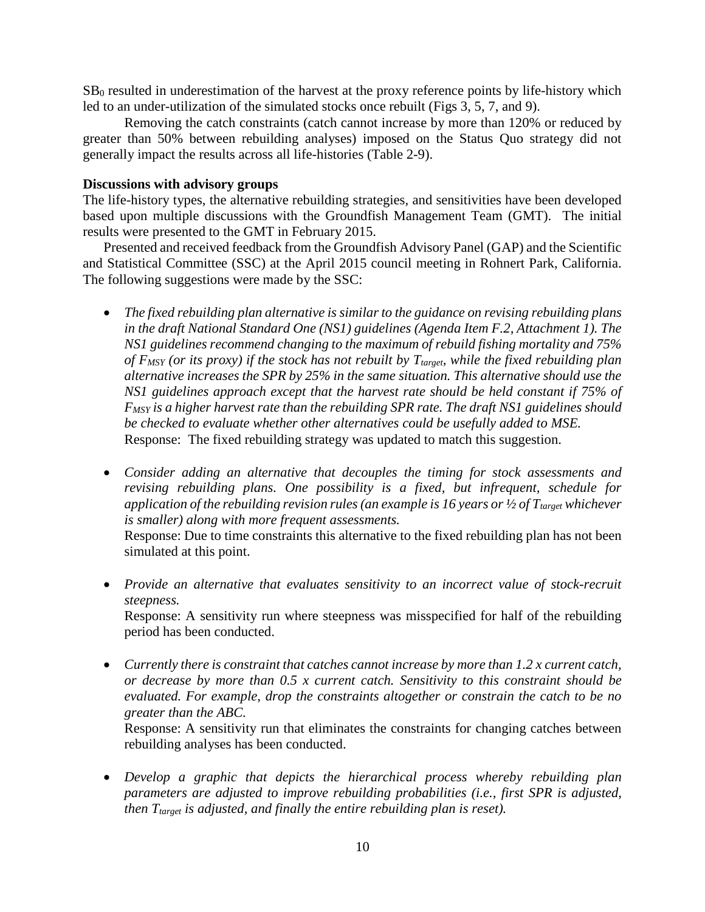$SB<sub>0</sub>$  resulted in underestimation of the harvest at the proxy reference points by life-history which led to an under-utilization of the simulated stocks once rebuilt (Figs 3, 5, 7, and 9).

Removing the catch constraints (catch cannot increase by more than 120% or reduced by greater than 50% between rebuilding analyses) imposed on the Status Quo strategy did not generally impact the results across all life-histories (Table 2-9).

### **Discussions with advisory groups**

The life-history types, the alternative rebuilding strategies, and sensitivities have been developed based upon multiple discussions with the Groundfish Management Team (GMT). The initial results were presented to the GMT in February 2015.

Presented and received feedback from the Groundfish Advisory Panel (GAP) and the Scientific and Statistical Committee (SSC) at the April 2015 council meeting in Rohnert Park, California. The following suggestions were made by the SSC:

- *The fixed rebuilding plan alternative is similar to the guidance on revising rebuilding plans in the draft National Standard One (NS1) guidelines (Agenda Item F.2, Attachment 1). The NS1 guidelines recommend changing to the maximum of rebuild fishing mortality and 75%*  of F<sub>MSY</sub> (or its proxy) if the stock has not rebuilt by T<sub>target</sub>, while the fixed rebuilding plan *alternative increases the SPR by 25% in the same situation. This alternative should use the NS1 guidelines approach except that the harvest rate should be held constant if 75% of FMSY is a higher harvest rate than the rebuilding SPR rate. The draft NS1 guidelines should be checked to evaluate whether other alternatives could be usefully added to MSE.* Response: The fixed rebuilding strategy was updated to match this suggestion.
- *Consider adding an alternative that decouples the timing for stock assessments and revising rebuilding plans. One possibility is a fixed, but infrequent, schedule for application of the rebuilding revision rules (an example is 16 years or*  $\frac{1}{2}$  *of*  $T_{\text{target}}$  *whichever is smaller) along with more frequent assessments.*

Response: Due to time constraints this alternative to the fixed rebuilding plan has not been simulated at this point.

• *Provide an alternative that evaluates sensitivity to an incorrect value of stock-recruit steepness.*

Response: A sensitivity run where steepness was misspecified for half of the rebuilding period has been conducted.

• *Currently there is constraint that catches cannot increase by more than 1.2 x current catch, or decrease by more than 0.5 x current catch. Sensitivity to this constraint should be evaluated. For example, drop the constraints altogether or constrain the catch to be no greater than the ABC.*

Response: A sensitivity run that eliminates the constraints for changing catches between rebuilding analyses has been conducted.

• *Develop a graphic that depicts the hierarchical process whereby rebuilding plan parameters are adjusted to improve rebuilding probabilities (i.e., first SPR is adjusted, then T<sub>target</sub> is adjusted, and finally the entire rebuilding plan is reset).*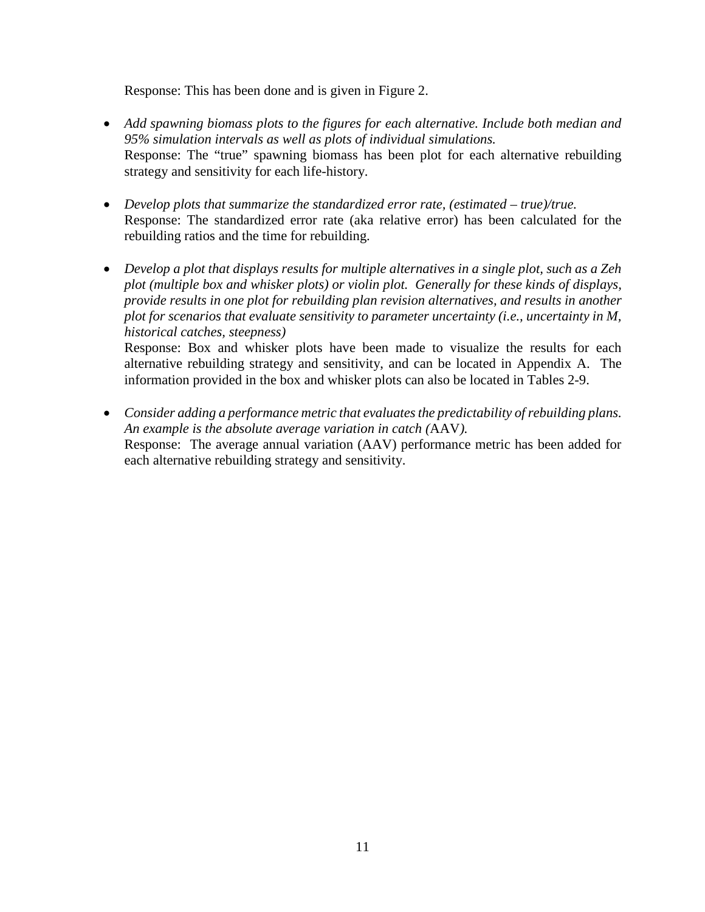Response: This has been done and is given in Figure 2.

- *Add spawning biomass plots to the figures for each alternative. Include both median and 95% simulation intervals as well as plots of individual simulations.* Response: The "true" spawning biomass has been plot for each alternative rebuilding strategy and sensitivity for each life-history.
- *Develop plots that summarize the standardized error rate, (estimated – true)/true.* Response: The standardized error rate (aka relative error) has been calculated for the rebuilding ratios and the time for rebuilding.
- *Develop a plot that displays results for multiple alternatives in a single plot, such as a Zeh plot (multiple box and whisker plots) or violin plot. Generally for these kinds of displays, provide results in one plot for rebuilding plan revision alternatives, and results in another plot for scenarios that evaluate sensitivity to parameter uncertainty (i.e., uncertainty in M, historical catches, steepness)*

Response: Box and whisker plots have been made to visualize the results for each alternative rebuilding strategy and sensitivity, and can be located in Appendix A. The information provided in the box and whisker plots can also be located in Tables 2-9.

• *Consider adding a performance metric that evaluates the predictability of rebuilding plans. An example is the absolute average variation in catch (*AAV*).* Response: The average annual variation (AAV) performance metric has been added for each alternative rebuilding strategy and sensitivity.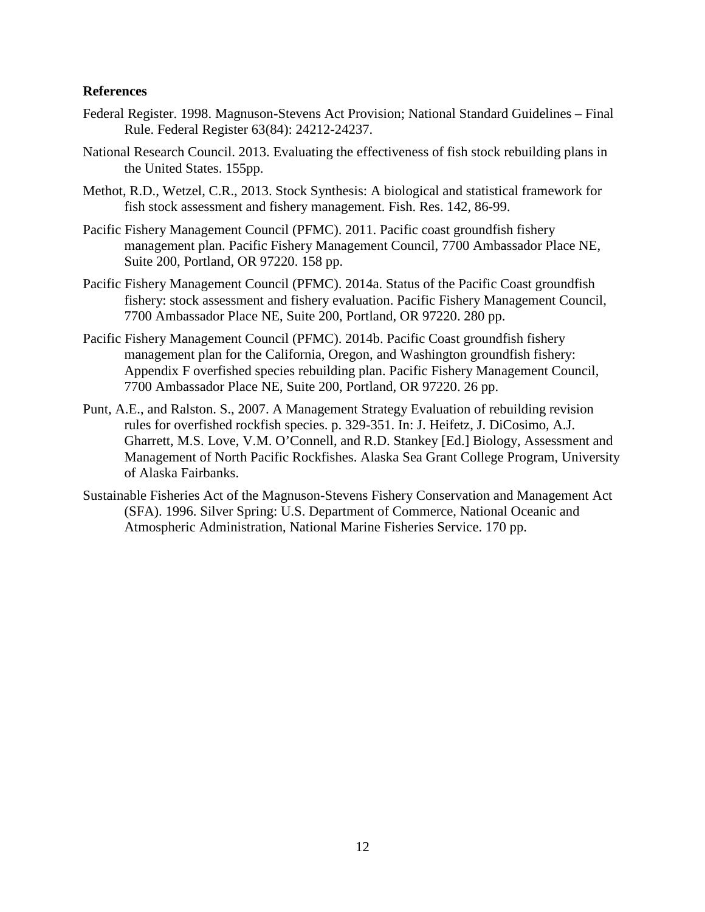## **References**

- Federal Register. 1998. Magnuson-Stevens Act Provision; National Standard Guidelines Final Rule. Federal Register 63(84): 24212-24237.
- National Research Council. 2013. Evaluating the effectiveness of fish stock rebuilding plans in the United States. 155pp.
- Methot, R.D., Wetzel, C.R., 2013. Stock Synthesis: A biological and statistical framework for fish stock assessment and fishery management. Fish. Res. 142, 86-99.
- Pacific Fishery Management Council (PFMC). 2011. Pacific coast groundfish fishery management plan. Pacific Fishery Management Council, 7700 Ambassador Place NE, Suite 200, Portland, OR 97220. 158 pp.
- Pacific Fishery Management Council (PFMC). 2014a. Status of the Pacific Coast groundfish fishery: stock assessment and fishery evaluation. Pacific Fishery Management Council, 7700 Ambassador Place NE, Suite 200, Portland, OR 97220. 280 pp.
- Pacific Fishery Management Council (PFMC). 2014b. Pacific Coast groundfish fishery management plan for the California, Oregon, and Washington groundfish fishery: Appendix F overfished species rebuilding plan. Pacific Fishery Management Council, 7700 Ambassador Place NE, Suite 200, Portland, OR 97220. 26 pp.
- Punt, A.E., and Ralston. S., 2007. A Management Strategy Evaluation of rebuilding revision rules for overfished rockfish species. p. 329-351. In: J. Heifetz, J. DiCosimo, A.J. Gharrett, M.S. Love, V.M. O'Connell, and R.D. Stankey [Ed.] Biology, Assessment and Management of North Pacific Rockfishes. Alaska Sea Grant College Program, University of Alaska Fairbanks.
- Sustainable Fisheries Act of the Magnuson-Stevens Fishery Conservation and Management Act (SFA). 1996. Silver Spring: U.S. Department of Commerce, National Oceanic and Atmospheric Administration, National Marine Fisheries Service. 170 pp.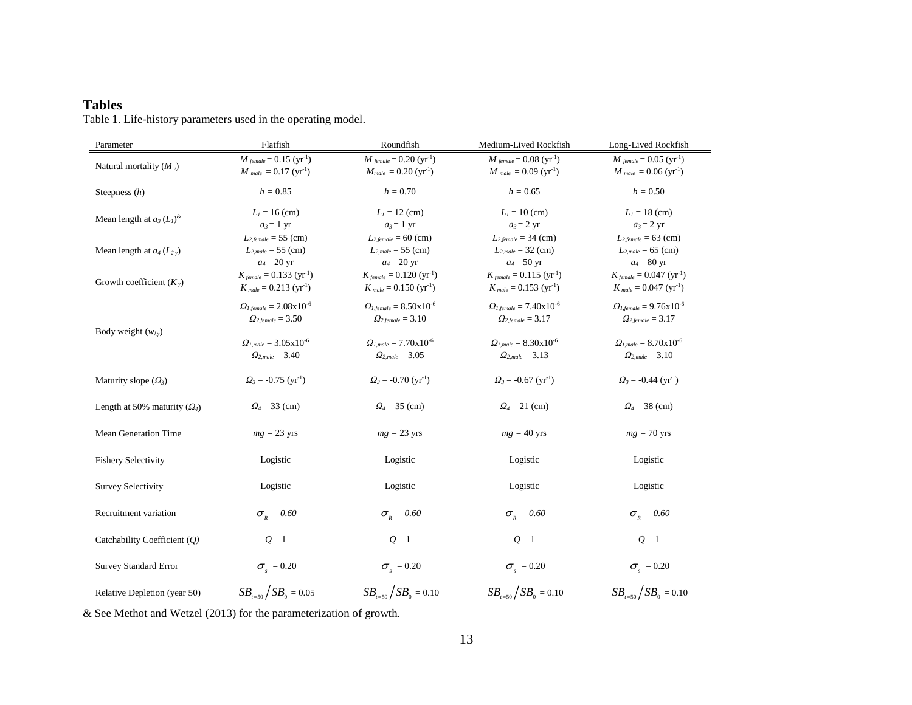| Parameter                      | Flatfish                                                                              | Roundfish                                                                               | Medium-Lived Rockfish                                                                 | Long-Lived Rockfish                                                                     |
|--------------------------------|---------------------------------------------------------------------------------------|-----------------------------------------------------------------------------------------|---------------------------------------------------------------------------------------|-----------------------------------------------------------------------------------------|
| Natural mortality $(M_{\nu})$  | $M_{\text{female}} = 0.15 \, (\text{yr}^{-1})$<br>$M_{male} = 0.17 \text{ (yr}^{-1})$ | $M_{\text{female}} = 0.20 \, (\text{yr}^{-1})$<br>$M_{male} = 0.20 \, (\text{yr}^{-1})$ | $M_{\text{female}} = 0.08 \, (\text{yr}^{-1})$<br>$M_{male} = 0.09 \text{ (yr}^{-1})$ | $M_{\text{female}} = 0.05 \, (\text{yr}^{-1})$<br>$M_{male} = 0.06$ (yr <sup>-1</sup> ) |
| Steepness $(h)$                | $h = 0.85$                                                                            | $h = 0.70$                                                                              | $h = 0.65$                                                                            | $h = 0.50$                                                                              |
| Mean length at $a_3(L_1)^{k}$  | $L_1 = 16$ (cm)<br>$a_3=1$ yr                                                         | $L_1 = 12$ (cm)<br>$a_3=1$ yr                                                           | $L_1 = 10$ (cm)<br>$a_3 = 2$ yr                                                       | $L_1 = 18$ (cm)<br>$a_3 = 2$ yr                                                         |
| Mean length at $a_4(L_2)$      | $L_{2, female} = 55$ (cm)<br>$L_{2,male} = 55$ (cm)<br>$a_4 = 20$ yr                  | $L_{2, female} = 60$ (cm)<br>$L_{2,male} = 55$ (cm)<br>$a_4 = 20$ yr                    | $L_{2, female} = 34$ (cm)<br>$L_{2,male} = 32$ (cm)<br>$a_4 = 50$ yr                  | $L_{2, female} = 63$ (cm)<br>$L_{2,male} = 65$ (cm)<br>$a_4 = 80$ yr                    |
| Growth coefficient $(Kv)$      | $K_{\text{female}} = 0.133 \text{ (yr}^{-1})$<br>$K_{male} = 0.213 \text{ (yr}^1)$    | $K_{\text{female}} = 0.120 \, (\text{yr}^{-1})$<br>$K_{male} = 0.150 \text{ (yr}^{-1})$ | $K_{\text{female}} = 0.115 \, (\text{yr}^{-1})$<br>$K_{male} = 0.153 \text{ (yr}^1)$  | $K_{\text{female}} = 0.047 \, (\text{yr}^{-1})$<br>$K_{male} = 0.047 \text{ (yr}^1)$    |
|                                | $Q_{1, female} = 2.08 \times 10^{-6}$<br>$\Omega_{2. female} = 3.50$                  | $Q_{1, female} = 8.50 \times 10^{-6}$<br>$\Omega_{2, female} = 3.10$                    | $Q_{1, female} = 7.40 \times 10^{-6}$<br>$\Omega_{2. female} = 3.17$                  | $Q_{1, female} = 9.76 \times 10^{-6}$<br>$\Omega_{2. female} = 3.17$                    |
| Body weight $(w_{l, y})$       | $Q_{l, male} = 3.05 \times 10^{-6}$<br>$\Omega_{2,male} = 3.40$                       | $Q_{l \, male} = 7.70 \times 10^{-6}$<br>$Q_{2, male} = 3.05$                           | $Q_{l \, male} = 8.30 \times 10^{-6}$<br>$\Omega_{2, male} = 3.13$                    | $Q_{Lmale} = 8.70 \times 10^{-6}$<br>$Q_{2, male} = 3.10$                               |
| Maturity slope $(\Omega_3)$    | $Q_3 = -0.75$ (yr <sup>-1</sup> )                                                     | $Q_3 = -0.70$ (yr <sup>-1</sup> )                                                       | $Q_3 = -0.67$ (yr <sup>-1</sup> )                                                     | $Q_3 = -0.44$ (yr <sup>-1</sup> )                                                       |
| Length at 50% maturity $(Q_4)$ | $Q_4 = 33$ (cm)                                                                       | $Q_4 = 35$ (cm)                                                                         | $Q_4 = 21$ (cm)                                                                       | $Q_4 = 38$ (cm)                                                                         |
| Mean Generation Time           | $mg = 23$ yrs                                                                         | $mg = 23$ yrs                                                                           | $mg = 40$ yrs                                                                         | $mg = 70$ yrs                                                                           |
| <b>Fishery Selectivity</b>     | Logistic                                                                              | Logistic                                                                                | Logistic                                                                              | Logistic                                                                                |
| <b>Survey Selectivity</b>      | Logistic                                                                              | Logistic                                                                                | Logistic                                                                              | Logistic                                                                                |
| Recruitment variation          | $\sigma_{R} = 0.60$                                                                   | $\sigma_{R} = 0.60$                                                                     | $\sigma_{R} = 0.60$                                                                   | $\sigma_{R} = 0.60$                                                                     |
| Catchability Coefficient (Q)   | $Q=1$                                                                                 | $Q=1$                                                                                   | $Q=1$                                                                                 | $Q=1$                                                                                   |
| <b>Survey Standard Error</b>   | $\sigma_{s} = 0.20$                                                                   | $\sigma_{\rm s} = 0.20$                                                                 | $\sigma_{s} = 0.20$                                                                   | $\sigma_{s}$ = 0.20                                                                     |
| Relative Depletion (year 50)   | $SB_{\text{R}}/SB_{0} = 0.05$                                                         | $SB_{t=50}/SB_0 = 0.10$                                                                 | $SB_{\text{res}}/SB_{0} = 0.10$                                                       | $SB_{\text{R}}/SB_{0} = 0.10$                                                           |

# **Tables** Table 1. Life-history parameters used in the operating model.

& See Methot and Wetzel (2013) for the parameterization of growth.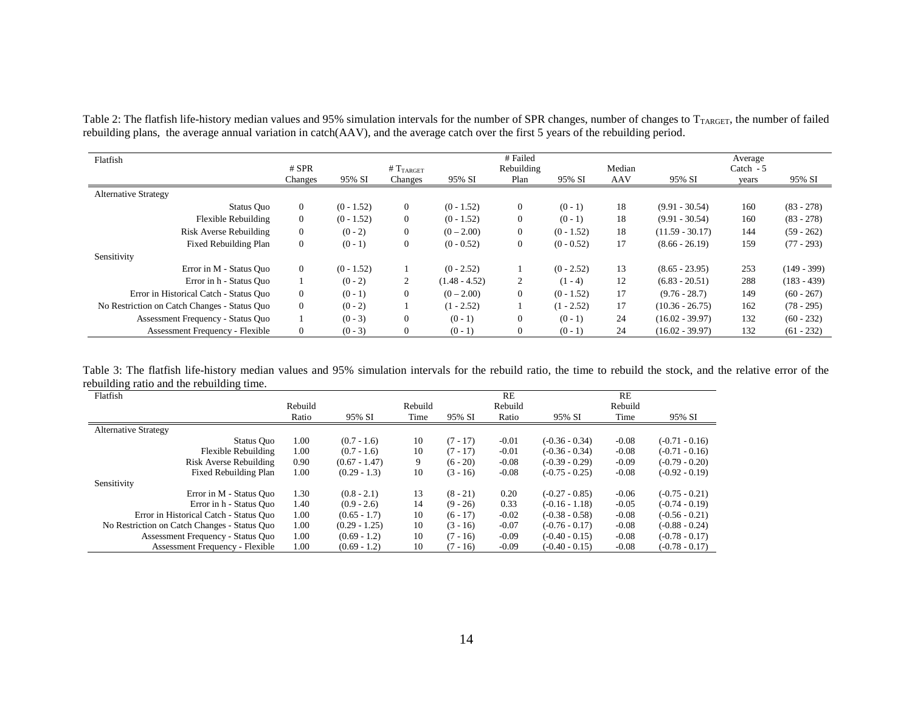| Table 2: The flatfish life-history median values and 95% simulation intervals for the number of SPR changes, number of changes to $T_{\text{TARGE}}$ , the number of failed |  |
|-----------------------------------------------------------------------------------------------------------------------------------------------------------------------------|--|
| rebuilding plans, the average annual variation in catch(AAV), and the average catch over the first 5 years of the rebuilding period.                                        |  |
|                                                                                                                                                                             |  |

| Flatfish                                     |                |              |                      |                 | # Failed       |              |        |                   | Average    |               |
|----------------------------------------------|----------------|--------------|----------------------|-----------------|----------------|--------------|--------|-------------------|------------|---------------|
|                                              | $#$ SPR        |              | #T <sub>TARGET</sub> |                 | Rebuilding     |              | Median |                   | Catch $-5$ |               |
|                                              | Changes        | 95% SI       | Changes              | 95% SI          | Plan           | 95% SI       | AAV    | 95% SI            | years      | 95% SI        |
| <b>Alternative Strategy</b>                  |                |              |                      |                 |                |              |        |                   |            |               |
| Status Quo                                   | $\overline{0}$ | $(0 - 1.52)$ | $\overline{0}$       | $(0 - 1.52)$    | $\overline{0}$ | $(0 - 1)$    | 18     | $(9.91 - 30.54)$  | 160        | $(83 - 278)$  |
| Flexible Rebuilding                          | $\theta$       | $(0 - 1.52)$ | $\overline{0}$       | $(0 - 1.52)$    | $\overline{0}$ | $(0 - 1)$    | 18     | $(9.91 - 30.54)$  | 160        | $(83 - 278)$  |
| Risk Averse Rebuilding                       | $\theta$       | $(0 - 2)$    | $\overline{0}$       | $(0 - 2.00)$    | $\overline{0}$ | $(0 - 1.52)$ | 18     | $(11.59 - 30.17)$ | 144        | $(59 - 262)$  |
| Fixed Rebuilding Plan                        | $\theta$       | $(0 - 1)$    | $\mathbf{0}$         | $(0 - 0.52)$    | $\overline{0}$ | $(0 - 0.52)$ | 17     | $(8.66 - 26.19)$  | 159        | $(77 - 293)$  |
| Sensitivity                                  |                |              |                      |                 |                |              |        |                   |            |               |
| Error in M - Status Ouo                      | $\overline{0}$ | $(0 - 1.52)$ |                      | $(0 - 2.52)$    |                | $(0 - 2.52)$ | 13     | $(8.65 - 23.95)$  | 253        | $(149 - 399)$ |
| Error in h - Status Quo                      |                | $(0 - 2)$    | 2                    | $(1.48 - 4.52)$ | 2              | $(1 - 4)$    | 12     | $(6.83 - 20.51)$  | 288        | $(183 - 439)$ |
| Error in Historical Catch - Status Quo       | $\Omega$       | $(0-1)$      | $\overline{0}$       | $(0 - 2.00)$    | $\Omega$       | $(0 - 1.52)$ | 17     | $(9.76 - 28.7)$   | 149        | $(60 - 267)$  |
| No Restriction on Catch Changes - Status Quo | $\theta$       | $(0 - 2)$    |                      | $(1 - 2.52)$    |                | $(1 - 2.52)$ | 17     | $(10.36 - 26.75)$ | 162        | $(78 - 295)$  |
| Assessment Frequency - Status Quo            |                | $(0 - 3)$    | $\mathbf{0}$         | $(0 - 1)$       | $\Omega$       | $(0 - 1)$    | 24     | $(16.02 - 39.97)$ | 132        | $(60 - 232)$  |
| <b>Assessment Frequency - Flexible</b>       | $\theta$       | $(0 - 3)$    | $\overline{0}$       | $(0 - 1)$       | $\Omega$       | $(0 - 1)$    | 24     | $(16.02 - 39.97)$ | 132        | $(61 - 232)$  |

Table 3: The flatfish life-history median values and 95% simulation intervals for the rebuild ratio, the time to rebuild the stock, and the relative error of the rebuilding ratio and the rebuilding time.  $\overline{\phantom{0}}$ 

| Flatfish                                     |         |                 |         |            | RE      |                  | <b>RE</b> |                  |
|----------------------------------------------|---------|-----------------|---------|------------|---------|------------------|-----------|------------------|
|                                              | Rebuild |                 | Rebuild |            | Rebuild |                  | Rebuild   |                  |
|                                              | Ratio   | 95% SI          | Time    | 95% SI     | Ratio   | 95% SI           | Time      | 95% SI           |
| <b>Alternative Strategy</b>                  |         |                 |         |            |         |                  |           |                  |
| Status Ouo                                   | 1.00    | $(0.7 - 1.6)$   | 10      | $(7 - 17)$ | $-0.01$ | $(-0.36 - 0.34)$ | $-0.08$   | $(-0.71 - 0.16)$ |
| Flexible Rebuilding                          | 1.00    | $(0.7 - 1.6)$   | 10      | $(7 - 17)$ | $-0.01$ | $(-0.36 - 0.34)$ | $-0.08$   | $(-0.71 - 0.16)$ |
| Risk Averse Rebuilding                       | 0.90    | $(0.67 - 1.47)$ | 9       | $(6 - 20)$ | $-0.08$ | $(-0.39 - 0.29)$ | $-0.09$   | $(-0.79 - 0.20)$ |
| Fixed Rebuilding Plan                        | 1.00    | $(0.29 - 1.3)$  | 10      | $(3 - 16)$ | $-0.08$ | $(-0.75 - 0.25)$ | $-0.08$   | $(-0.92 - 0.19)$ |
| Sensitivity                                  |         |                 |         |            |         |                  |           |                  |
| Error in M - Status Quo                      | 1.30    | $(0.8 - 2.1)$   | 13      | $(8 - 21)$ | 0.20    | $(-0.27 - 0.85)$ | $-0.06$   | $(-0.75 - 0.21)$ |
| Error in h - Status Quo                      | 1.40    | $(0.9 - 2.6)$   | 14      | $(9 - 26)$ | 0.33    | $(-0.16 - 1.18)$ | $-0.05$   | $(-0.74 - 0.19)$ |
| Error in Historical Catch - Status Quo       | 1.00    | $(0.65 - 1.7)$  | 10      | $(6 - 17)$ | $-0.02$ | $(-0.38 - 0.58)$ | $-0.08$   | $(-0.56 - 0.21)$ |
| No Restriction on Catch Changes - Status Quo | 1.00    | $(0.29 - 1.25)$ | 10      | $(3 - 16)$ | $-0.07$ | $(-0.76 - 0.17)$ | $-0.08$   | $(-0.88 - 0.24)$ |
| Assessment Frequency - Status Quo            | 1.00    | $(0.69 - 1.2)$  | 10      | $(7 - 16)$ | $-0.09$ | $(-0.40 - 0.15)$ | $-0.08$   | $(-0.78 - 0.17)$ |
| <b>Assessment Frequency - Flexible</b>       | 1.00    | $(0.69 - 1.2)$  | 10      | $(7 - 16)$ | $-0.09$ | $(-0.40 - 0.15)$ | $-0.08$   | $(-0.78 - 0.17)$ |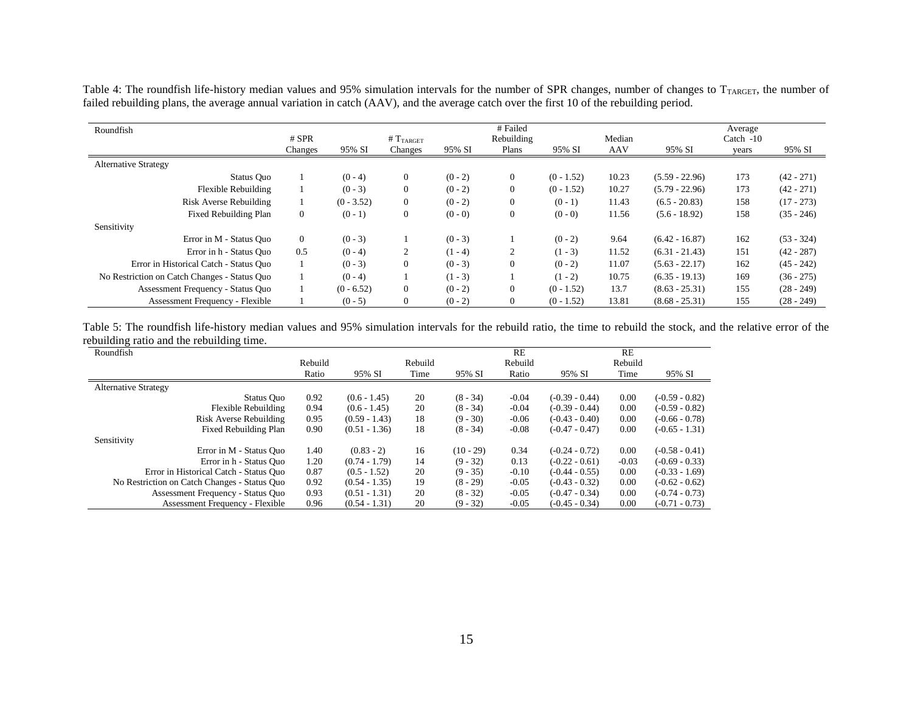Table 4: The roundfish life-history median values and 95% simulation intervals for the number of SPR changes, number of changes to  $T_{\text{TARGE}}$ , the number of failed rebuilding plans, the average annual variation in catch (AAV), and the average catch over the first 10 of the rebuilding period.

| Roundfish                                    | $#$ SPR        |              | # $T_{TART}$     |           | # Failed<br>Rebuilding |              | Median     |                  | Average<br>Catch $-10$ |              |
|----------------------------------------------|----------------|--------------|------------------|-----------|------------------------|--------------|------------|------------------|------------------------|--------------|
|                                              | Changes        | 95% SI       | Changes          | 95% SI    | Plans                  | 95% SI       | <b>AAV</b> | 95% SI           | years                  | 95% SI       |
| <b>Alternative Strategy</b>                  |                |              |                  |           |                        |              |            |                  |                        |              |
| Status Quo                                   |                | $(0 - 4)$    | $\mathbf{0}$     | $(0 - 2)$ | $\overline{0}$         | $(0 - 1.52)$ | 10.23      | $(5.59 - 22.96)$ | 173                    | $(42 - 271)$ |
| Flexible Rebuilding                          |                | $(0 - 3)$    | $\mathbf{0}$     | $(0 - 2)$ | $\mathbf{0}$           | $(0 - 1.52)$ | 10.27      | $(5.79 - 22.96)$ | 173                    | $(42 - 271)$ |
| Risk Averse Rebuilding                       |                | $(0 - 3.52)$ | $\overline{0}$   | $(0 - 2)$ | $\Omega$               | $(0-1)$      | 11.43      | $(6.5 - 20.83)$  | 158                    | $(17 - 273)$ |
| Fixed Rebuilding Plan                        | $\overline{0}$ | $(0-1)$      | $\boldsymbol{0}$ | $(0 - 0)$ | $\overline{0}$         | $(0 - 0)$    | 11.56      | $(5.6 - 18.92)$  | 158                    | $(35 - 246)$ |
| Sensitivity                                  |                |              |                  |           |                        |              |            |                  |                        |              |
| Error in M - Status Ouo                      | $\overline{0}$ | $(0 - 3)$    |                  | $(0 - 3)$ |                        | $(0 - 2)$    | 9.64       | $(6.42 - 16.87)$ | 162                    | $(53 - 324)$ |
| Error in h - Status Ouo                      | 0.5            | $(0 - 4)$    | 2                | $(1 - 4)$ |                        | $(1 - 3)$    | 11.52      | $(6.31 - 21.43)$ | 151                    | $(42 - 287)$ |
| Error in Historical Catch - Status Quo       |                | $(0 - 3)$    | $\mathbf{0}$     | $(0 - 3)$ | $\Omega$               | $(0 - 2)$    | 11.07      | $(5.63 - 22.17)$ | 162                    | $(45 - 242)$ |
| No Restriction on Catch Changes - Status Quo |                | $(0 - 4)$    |                  | $(1 - 3)$ |                        | $(1 - 2)$    | 10.75      | $(6.35 - 19.13)$ | 169                    | $(36 - 275)$ |
| Assessment Frequency - Status Quo            |                | $(0 - 6.52)$ | $\overline{0}$   | $(0 - 2)$ | $\Omega$               | $(0 - 1.52)$ | 13.7       | $(8.63 - 25.31)$ | 155                    | $(28 - 249)$ |
| <b>Assessment Frequency - Flexible</b>       |                | $(0 - 5)$    | $\overline{0}$   | $(0 - 2)$ | $\Omega$               | $(0 - 1.52)$ | 13.81      | $(8.68 - 25.31)$ | 155                    | $(28 - 249)$ |

Table 5: The roundfish life-history median values and 95% simulation intervals for the rebuild ratio, the time to rebuild the stock, and the relative error of the rebuilding ratio and the rebuilding time.  $\overline{\phantom{0}}$ 

| Roundfish                                    |         |                 |         |             | RE      |                  | RE      |                  |
|----------------------------------------------|---------|-----------------|---------|-------------|---------|------------------|---------|------------------|
|                                              | Rebuild |                 | Rebuild |             | Rebuild |                  | Rebuild |                  |
|                                              | Ratio   | 95% SI          | Time    | 95% SI      | Ratio   | 95% SI           | Time    | 95% SI           |
| <b>Alternative Strategy</b>                  |         |                 |         |             |         |                  |         |                  |
| Status Ouo                                   | 0.92    | $(0.6 - 1.45)$  | 20      | $(8 - 34)$  | $-0.04$ | $(-0.39 - 0.44)$ | 0.00    | $(-0.59 - 0.82)$ |
| Flexible Rebuilding                          | 0.94    | $(0.6 - 1.45)$  | 20      | $(8 - 34)$  | $-0.04$ | $(-0.39 - 0.44)$ | 0.00    | $(-0.59 - 0.82)$ |
| Risk Averse Rebuilding                       | 0.95    | $(0.59 - 1.43)$ | 18      | $(9 - 30)$  | $-0.06$ | $(-0.43 - 0.40)$ | 0.00    | $(-0.66 - 0.78)$ |
| Fixed Rebuilding Plan                        | 0.90    | $(0.51 - 1.36)$ | 18      | $(8 - 34)$  | $-0.08$ | $(-0.47 - 0.47)$ | 0.00    | $(-0.65 - 1.31)$ |
| Sensitivity                                  |         |                 |         |             |         |                  |         |                  |
| Error in M - Status Ouo                      | 1.40    | $(0.83 - 2)$    | 16      | $(10 - 29)$ | 0.34    | $(-0.24 - 0.72)$ | 0.00    | $(-0.58 - 0.41)$ |
| Error in h - Status Quo                      | 1.20    | $(0.74 - 1.79)$ | 14      | $(9 - 32)$  | 0.13    | $(-0.22 - 0.61)$ | $-0.03$ | $(-0.69 - 0.33)$ |
| Error in Historical Catch - Status Quo       | 0.87    | $(0.5 - 1.52)$  | 20      | $(9 - 35)$  | $-0.10$ | $(-0.44 - 0.55)$ | 0.00    | $(-0.33 - 1.69)$ |
| No Restriction on Catch Changes - Status Quo | 0.92    | $(0.54 - 1.35)$ | 19      | $(8 - 29)$  | $-0.05$ | $(-0.43 - 0.32)$ | 0.00    | $(-0.62 - 0.62)$ |
| Assessment Frequency - Status Quo            | 0.93    | $(0.51 - 1.31)$ | 20      | $(8 - 32)$  | $-0.05$ | $(-0.47 - 0.34)$ | 0.00    | $(-0.74 - 0.73)$ |
| <b>Assessment Frequency - Flexible</b>       | 0.96    | $(0.54 - 1.31)$ | 20      | $(9 - 32)$  | $-0.05$ | $(-0.45 - 0.34)$ | 0.00    | $(-0.71 - 0.73)$ |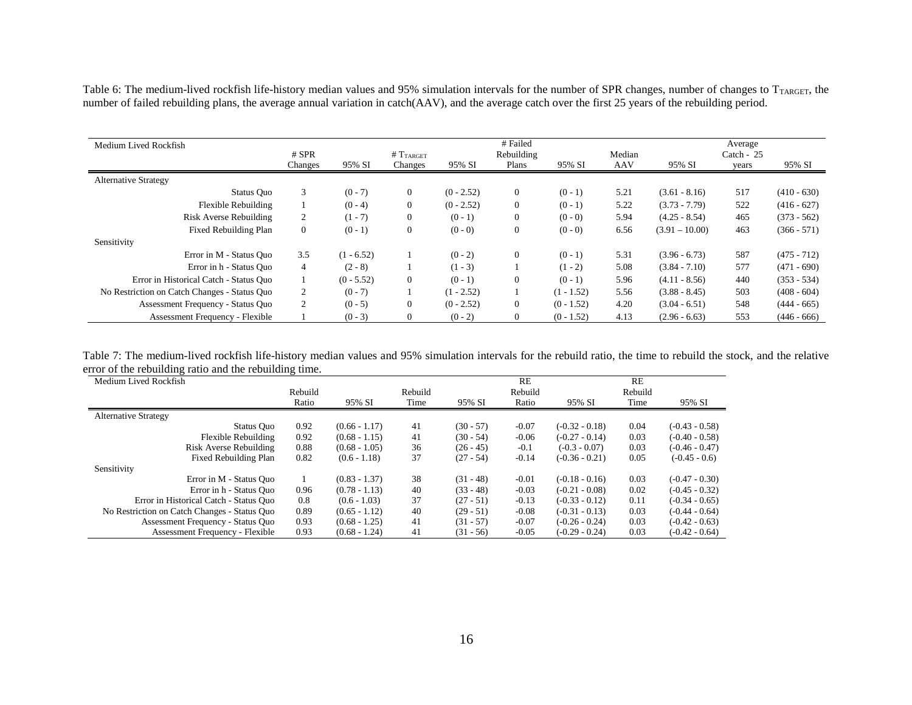Table 6: The medium-lived rockfish life-history median values and 95% simulation intervals for the number of SPR changes, number of changes to  $T_{TARGE}$ , the number of failed rebuilding plans, the average annual variation in catch(AAV), and the average catch over the first 25 years of the rebuilding period.

|                                              |                |              |                       |              | # Failed     |              |        |                  | Average      |               |
|----------------------------------------------|----------------|--------------|-----------------------|--------------|--------------|--------------|--------|------------------|--------------|---------------|
| Medium Lived Rockfish                        | $#$ SPR        |              | # T <sub>TARGET</sub> |              | Rebuilding   |              | Median |                  | Catch - $25$ |               |
|                                              | Changes        | 95% SI       | Changes               | 95% SI       | Plans        | 95% SI       | AAV    | 95% SI           | years        | 95% SI        |
| <b>Alternative Strategy</b>                  |                |              |                       |              |              |              |        |                  |              |               |
| Status Quo                                   | 3              | $(0 - 7)$    | $\boldsymbol{0}$      | $(0 - 2.52)$ | $\theta$     | $(0 - 1)$    | 5.21   | $(3.61 - 8.16)$  | 517          | $(410 - 630)$ |
| Flexible Rebuilding                          |                | $(0 - 4)$    | $\boldsymbol{0}$      | $(0 - 2.52)$ | $\theta$     | $(0 - 1)$    | 5.22   | $(3.73 - 7.79)$  | 522          | $(416 - 627)$ |
| Risk Averse Rebuilding                       | 2              | $(1 - 7)$    | $\boldsymbol{0}$      | $(0 - 1)$    | $\theta$     | $(0 - 0)$    | 5.94   | $(4.25 - 8.54)$  | 465          | $(373 - 562)$ |
| Fixed Rebuilding Plan                        | $\overline{0}$ | $(0 - 1)$    | $\boldsymbol{0}$      | $(0 - 0)$    | $\mathbf{0}$ | $(0 - 0)$    | 6.56   | $(3.91 - 10.00)$ | 463          | $(366 - 571)$ |
| Sensitivity                                  |                |              |                       |              |              |              |        |                  |              |               |
| Error in M - Status Ouo                      | 3.5            | $(1 - 6.52)$ |                       | $(0 - 2)$    | $\theta$     | $(0 - 1)$    | 5.31   | $(3.96 - 6.73)$  | 587          | $(475 - 712)$ |
| Error in h - Status Quo                      | $\overline{4}$ | $(2 - 8)$    |                       | $(1 - 3)$    |              | $(1 - 2)$    | 5.08   | $(3.84 - 7.10)$  | 577          | $(471 - 690)$ |
| Error in Historical Catch - Status Quo       |                | $(0 - 5.52)$ | $\boldsymbol{0}$      | $(0 - 1)$    | $\theta$     | $(0 - 1)$    | 5.96   | $(4.11 - 8.56)$  | 440          | $(353 - 534)$ |
| No Restriction on Catch Changes - Status Quo | $\overline{2}$ | $(0 - 7)$    |                       | $(1 - 2.52)$ |              | $(1 - 1.52)$ | 5.56   | $(3.88 - 8.45)$  | 503          | $(408 - 604)$ |
| Assessment Frequency - Status Quo            | $\overline{2}$ | $(0 - 5)$    | $\mathbf{0}$          | $(0 - 2.52)$ | $\theta$     | $(0 - 1.52)$ | 4.20   | $(3.04 - 6.51)$  | 548          | $(444 - 665)$ |
| Assessment Frequency - Flexible              |                | $(0 - 3)$    | $\mathbf{0}$          | $(0 - 2)$    | $\theta$     | $(0 - 1.52)$ | 4.13   | $(2.96 - 6.63)$  | 553          | $(446 - 666)$ |

Table 7: The medium-lived rockfish life-history median values and 95% simulation intervals for the rebuild ratio, the time to rebuild the stock, and the relative error of the rebuilding ratio and the rebuilding time.

| Medium Lived Rockfish                        |         |                 |         |             | <b>RE</b> |                  | <b>RE</b> |                  |
|----------------------------------------------|---------|-----------------|---------|-------------|-----------|------------------|-----------|------------------|
|                                              | Rebuild |                 | Rebuild |             | Rebuild   |                  | Rebuild   |                  |
|                                              | Ratio   | 95% SI          | Time    | 95% SI      | Ratio     | 95% SI           | Time      | 95% SI           |
| <b>Alternative Strategy</b>                  |         |                 |         |             |           |                  |           |                  |
| Status Ouo                                   | 0.92    | $(0.66 - 1.17)$ | 41      | $(30 - 57)$ | $-0.07$   | $(-0.32 - 0.18)$ | 0.04      | $(-0.43 - 0.58)$ |
| Flexible Rebuilding                          | 0.92    | $(0.68 - 1.15)$ | 41      | $(30 - 54)$ | $-0.06$   | $(-0.27 - 0.14)$ | 0.03      | $(-0.40 - 0.58)$ |
| Risk Averse Rebuilding                       | 0.88    | $(0.68 - 1.05)$ | 36      | $(26 - 45)$ | $-0.1$    | $(-0.3 - 0.07)$  | 0.03      | $(-0.46 - 0.47)$ |
| Fixed Rebuilding Plan                        | 0.82    | $(0.6 - 1.18)$  | 37      | $(27 - 54)$ | $-0.14$   | $(-0.36 - 0.21)$ | 0.05      | $(-0.45 - 0.6)$  |
| Sensitivity                                  |         |                 |         |             |           |                  |           |                  |
| Error in M - Status Ouo                      |         | $(0.83 - 1.37)$ | 38      | $(31 - 48)$ | $-0.01$   | $(-0.18 - 0.16)$ | 0.03      | $(-0.47 - 0.30)$ |
| Error in h - Status Quo                      | 0.96    | $(0.78 - 1.13)$ | 40      | $(33 - 48)$ | $-0.03$   | $(-0.21 - 0.08)$ | 0.02      | $(-0.45 - 0.32)$ |
| Error in Historical Catch - Status Quo       | 0.8     | $(0.6 - 1.03)$  | 37      | $(27 - 51)$ | $-0.13$   | $(-0.33 - 0.12)$ | 0.11      | $(-0.34 - 0.65)$ |
| No Restriction on Catch Changes - Status Quo | 0.89    | $(0.65 - 1.12)$ | 40      | $(29 - 51)$ | $-0.08$   | $(-0.31 - 0.13)$ | 0.03      | $(-0.44 - 0.64)$ |
| Assessment Frequency - Status Quo            | 0.93    | $(0.68 - 1.25)$ | 41      | $(31 - 57)$ | $-0.07$   | $(-0.26 - 0.24)$ | 0.03      | $(-0.42 - 0.63)$ |
| <b>Assessment Frequency - Flexible</b>       | 0.93    | $(0.68 - 1.24)$ | 41      | $(31 - 56)$ | $-0.05$   | $(-0.29 - 0.24)$ | 0.03      | $(-0.42 - 0.64)$ |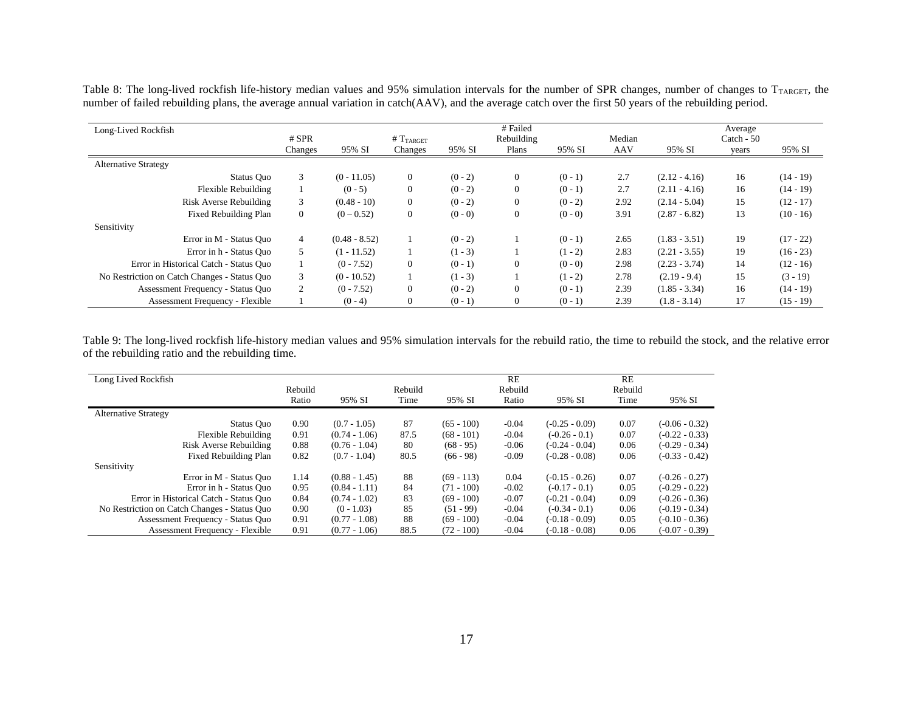Table 8: The long-lived rockfish life-history median values and 95% simulation intervals for the number of SPR changes, number of changes to T<sub>TARGET</sub>, the number of failed rebuilding plans, the average annual variation in catch(AAV), and the average catch over the first 50 years of the rebuilding period.

| Long-Lived Rockfish                          | $#$ SPR        |                 | #T <sub>TARGET</sub> |           | # Failed<br>Rebuilding |           | Median |                 | Average<br>Catch $-50$ |             |
|----------------------------------------------|----------------|-----------------|----------------------|-----------|------------------------|-----------|--------|-----------------|------------------------|-------------|
|                                              | Changes        | 95% SI          | Changes              | 95% SI    | Plans                  | 95% SI    | AAV    | 95% SI          | years                  | 95% SI      |
| <b>Alternative Strategy</b>                  |                |                 |                      |           |                        |           |        |                 |                        |             |
| Status Ouo                                   | 3              | $(0 - 11.05)$   | $\overline{0}$       | $(0 - 2)$ | $\overline{0}$         | $(0 - 1)$ | 2.7    | $(2.12 - 4.16)$ | 16                     | $(14-19)$   |
| Flexible Rebuilding                          |                | $(0 - 5)$       | $\overline{0}$       | $(0 - 2)$ | $\overline{0}$         | $(0 - 1)$ | 2.7    | $(2.11 - 4.16)$ | 16                     | $(14-19)$   |
| Risk Averse Rebuilding                       | 3              | $(0.48 - 10)$   | $\overline{0}$       | $(0 - 2)$ | $\overline{0}$         | $(0 - 2)$ | 2.92   | $(2.14 - 5.04)$ | 15                     | $(12 - 17)$ |
| Fixed Rebuilding Plan                        | $\overline{0}$ | $(0 - 0.52)$    | $\overline{0}$       | $(0 - 0)$ | $\boldsymbol{0}$       | $(0 - 0)$ | 3.91   | $(2.87 - 6.82)$ | 13                     | $(10 - 16)$ |
| Sensitivity                                  |                |                 |                      |           |                        |           |        |                 |                        |             |
| Error in M - Status Ouo                      | $\overline{4}$ | $(0.48 - 8.52)$ |                      | $(0 - 2)$ |                        | $(0 - 1)$ | 2.65   | $(1.83 - 3.51)$ | 19                     | $(17 - 22)$ |
| Error in h - Status Quo                      |                | $(1 - 11.52)$   |                      | $(1 - 3)$ |                        | $(1 - 2)$ | 2.83   | $(2.21 - 3.55)$ | 19                     | $(16 - 23)$ |
| Error in Historical Catch - Status Quo       |                | $(0 - 7.52)$    | $\overline{0}$       | $(0 - 1)$ | $\mathbf{0}$           | $(0 - 0)$ | 2.98   | $(2.23 - 3.74)$ | 14                     | $(12 - 16)$ |
| No Restriction on Catch Changes - Status Quo | 3              | $(0 - 10.52)$   |                      | $(1 - 3)$ |                        | $(1 - 2)$ | 2.78   | $(2.19 - 9.4)$  | 15                     | $(3 - 19)$  |
| Assessment Frequency - Status Ouo            | $\overline{c}$ | $(0 - 7.52)$    | $\overline{0}$       | $(0 - 2)$ | $\overline{0}$         | $(0 - 1)$ | 2.39   | $(1.85 - 3.34)$ | 16                     | $(14-19)$   |
| <b>Assessment Frequency - Flexible</b>       |                | $(0 - 4)$       | $\Omega$             | $(0 - 1)$ | $\overline{0}$         | $(0 - 1)$ | 2.39   | $(1.8 - 3.14)$  | 17                     | $(15 - 19)$ |

Table 9: The long-lived rockfish life-history median values and 95% simulation intervals for the rebuild ratio, the time to rebuild the stock, and the relative error of the rebuilding ratio and the rebuilding time.

| Long Lived Rockfish                          |         |                 |         |              | RE      |                  | RE      |                  |
|----------------------------------------------|---------|-----------------|---------|--------------|---------|------------------|---------|------------------|
|                                              | Rebuild |                 | Rebuild |              | Rebuild |                  | Rebuild |                  |
|                                              | Ratio   | 95% SI          | Time    | 95% SI       | Ratio   | 95% SI           | Time    | 95% SI           |
| <b>Alternative Strategy</b>                  |         |                 |         |              |         |                  |         |                  |
| Status Quo                                   | 0.90    | $(0.7 - 1.05)$  | 87      | $(65 - 100)$ | $-0.04$ | $(-0.25 - 0.09)$ | 0.07    | $(-0.06 - 0.32)$ |
| Flexible Rebuilding                          | 0.91    | $(0.74 - 1.06)$ | 87.5    | $(68 - 101)$ | $-0.04$ | $(-0.26 - 0.1)$  | 0.07    | $(-0.22 - 0.33)$ |
| Risk Averse Rebuilding                       | 0.88    | $(0.76 - 1.04)$ | 80      | $(68 - 95)$  | $-0.06$ | $(-0.24 - 0.04)$ | 0.06    | $(-0.29 - 0.34)$ |
| Fixed Rebuilding Plan                        | 0.82    | $(0.7 - 1.04)$  | 80.5    | $(66 - 98)$  | $-0.09$ | $(-0.28 - 0.08)$ | 0.06    | $(-0.33 - 0.42)$ |
| Sensitivity                                  |         |                 |         |              |         |                  |         |                  |
| Error in M - Status Ouo                      | 1.14    | $(0.88 - 1.45)$ | 88      | $(69 - 113)$ | 0.04    | $(-0.15 - 0.26)$ | 0.07    | $(-0.26 - 0.27)$ |
| Error in h - Status Quo                      | 0.95    | $(0.84 - 1.11)$ | 84      | $(71 - 100)$ | $-0.02$ | $(-0.17 - 0.1)$  | 0.05    | $(-0.29 - 0.22)$ |
| Error in Historical Catch - Status Quo       | 0.84    | $(0.74 - 1.02)$ | 83      | $(69 - 100)$ | $-0.07$ | $(-0.21 - 0.04)$ | 0.09    | $(-0.26 - 0.36)$ |
| No Restriction on Catch Changes - Status Quo | 0.90    | $(0 - 1.03)$    | 85      | $(51 - 99)$  | $-0.04$ | $(-0.34 - 0.1)$  | 0.06    | $(-0.19 - 0.34)$ |
| Assessment Frequency - Status Quo            | 0.91    | $(0.77 - 1.08)$ | 88      | $(69 - 100)$ | $-0.04$ | $(-0.18 - 0.09)$ | 0.05    | $(-0.10 - 0.36)$ |
| <b>Assessment Frequency - Flexible</b>       | 0.91    | $(0.77 - 1.06)$ | 88.5    | $(72 - 100)$ | $-0.04$ | $(-0.18 - 0.08)$ | 0.06    | $(-0.07 - 0.39)$ |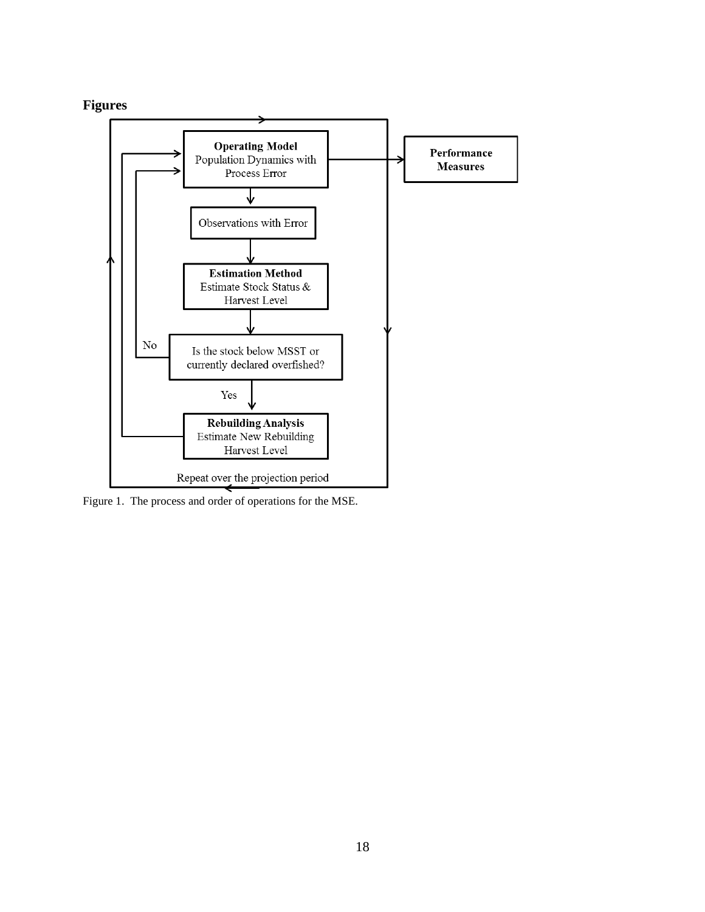# **Figures**



Figure 1. The process and order of operations for the MSE.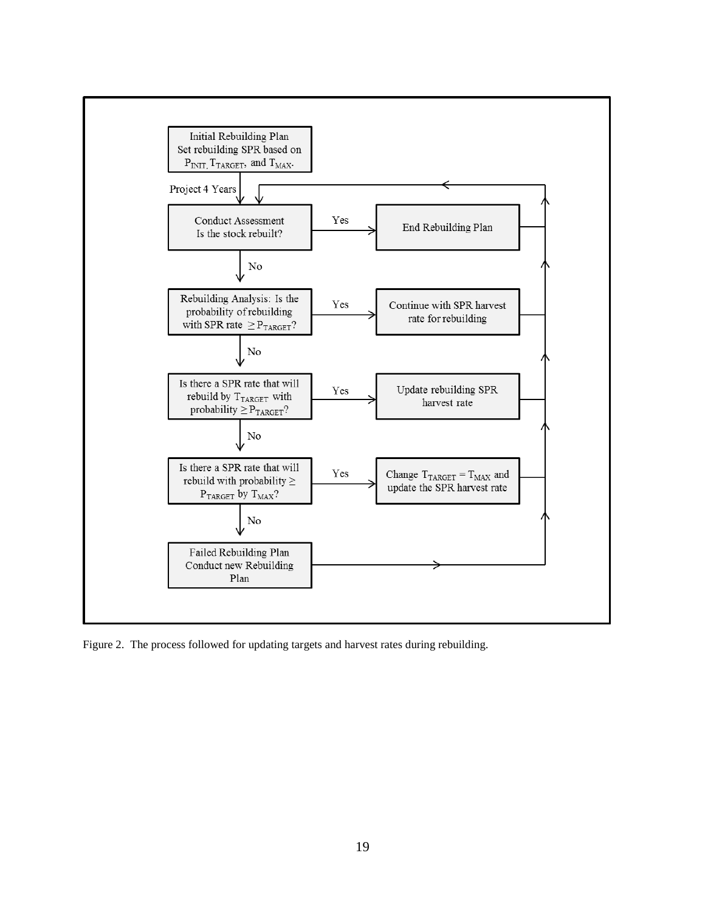

Figure 2. The process followed for updating targets and harvest rates during rebuilding.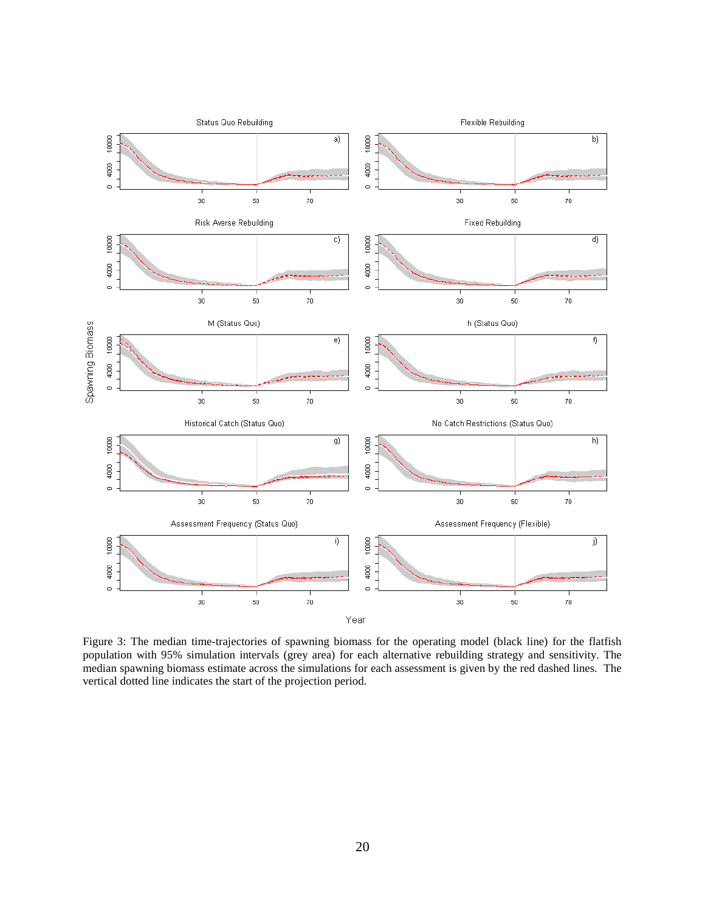

Figure 3: The median time-trajectories of spawning biomass for the operating model (black line) for the flatfish population with 95% simulation intervals (grey area) for each alternative rebuilding strategy and sensitivity. The median spawning biomass estimate across the simulations for each assessment is given by the red dashed lines. The vertical dotted line indicates the start of the projection period.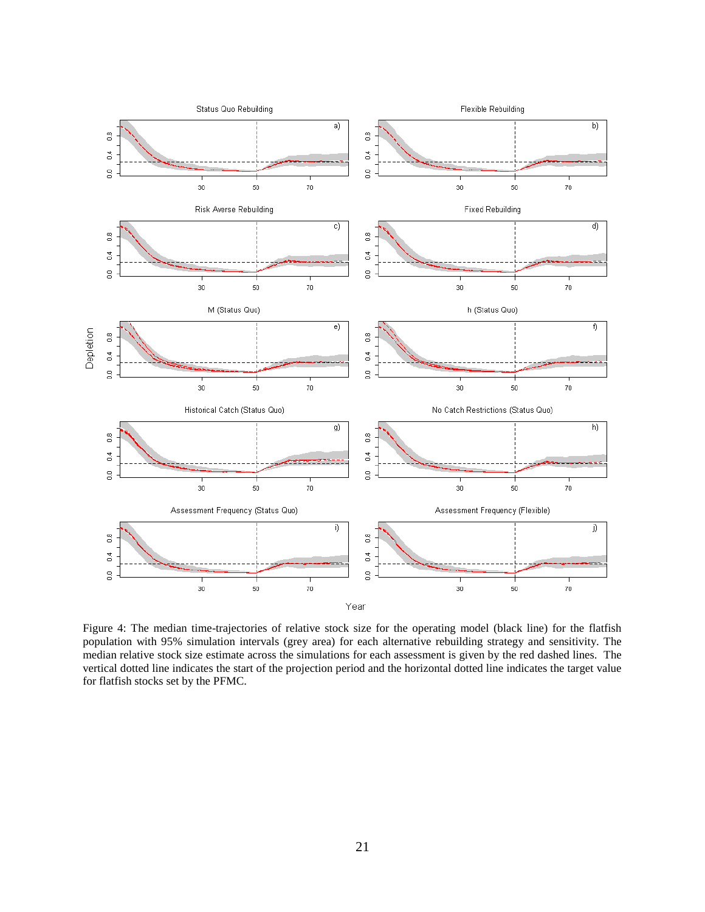

Figure 4: The median time-trajectories of relative stock size for the operating model (black line) for the flatfish population with 95% simulation intervals (grey area) for each alternative rebuilding strategy and sensitivity. The median relative stock size estimate across the simulations for each assessment is given by the red dashed lines. The vertical dotted line indicates the start of the projection period and the horizontal dotted line indicates the target value for flatfish stocks set by the PFMC.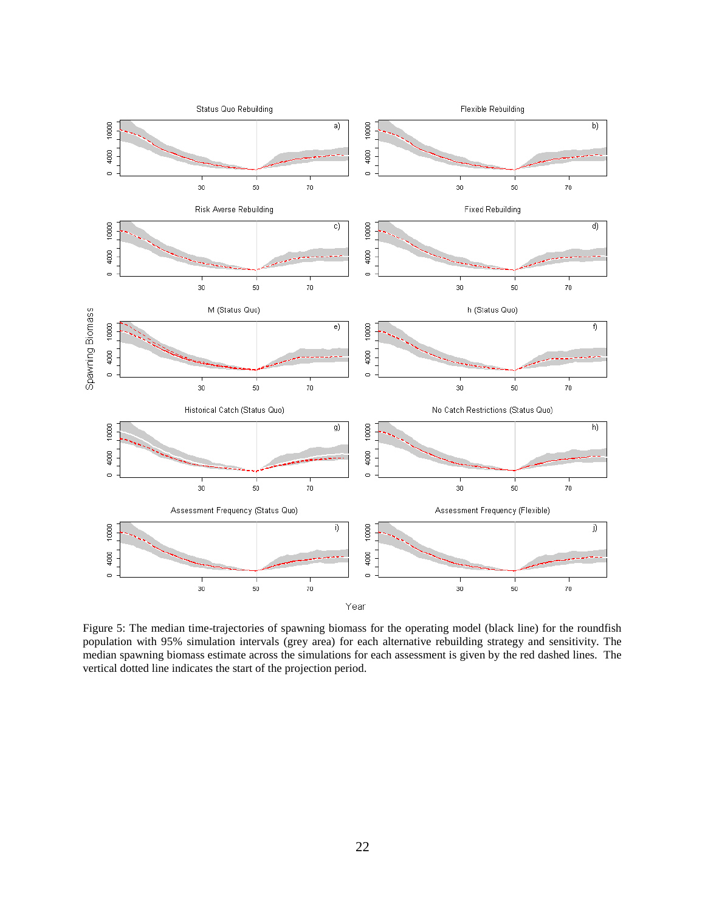

Figure 5: The median time-trajectories of spawning biomass for the operating model (black line) for the roundfish population with 95% simulation intervals (grey area) for each alternative rebuilding strategy and sensitivity. The median spawning biomass estimate across the simulations for each assessment is given by the red dashed lines. The vertical dotted line indicates the start of the projection period.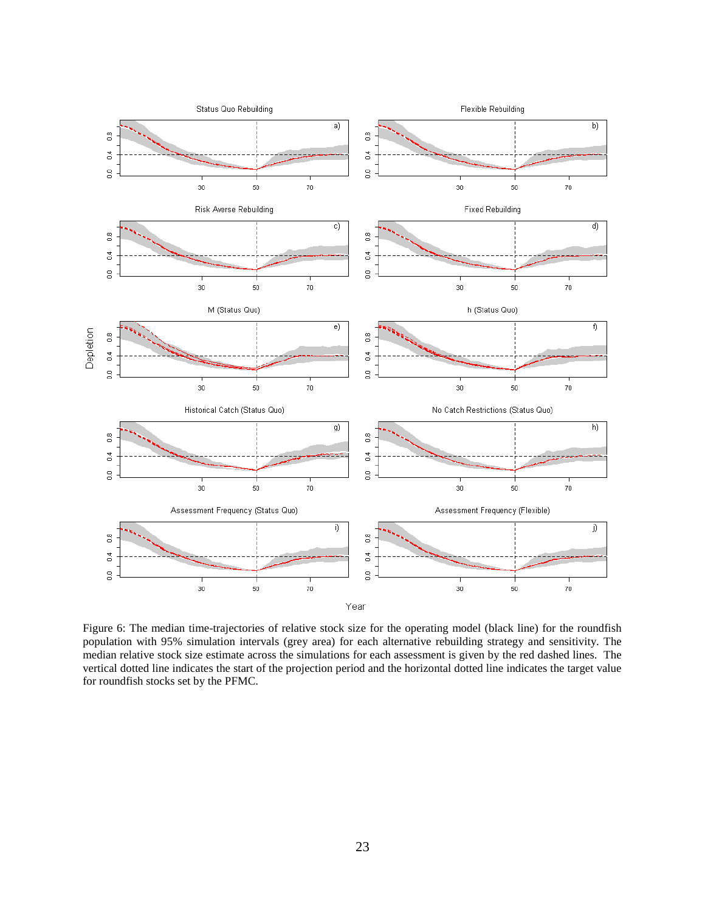

Figure 6: The median time-trajectories of relative stock size for the operating model (black line) for the roundfish population with 95% simulation intervals (grey area) for each alternative rebuilding strategy and sensitivity. The median relative stock size estimate across the simulations for each assessment is given by the red dashed lines. The vertical dotted line indicates the start of the projection period and the horizontal dotted line indicates the target value for roundfish stocks set by the PFMC.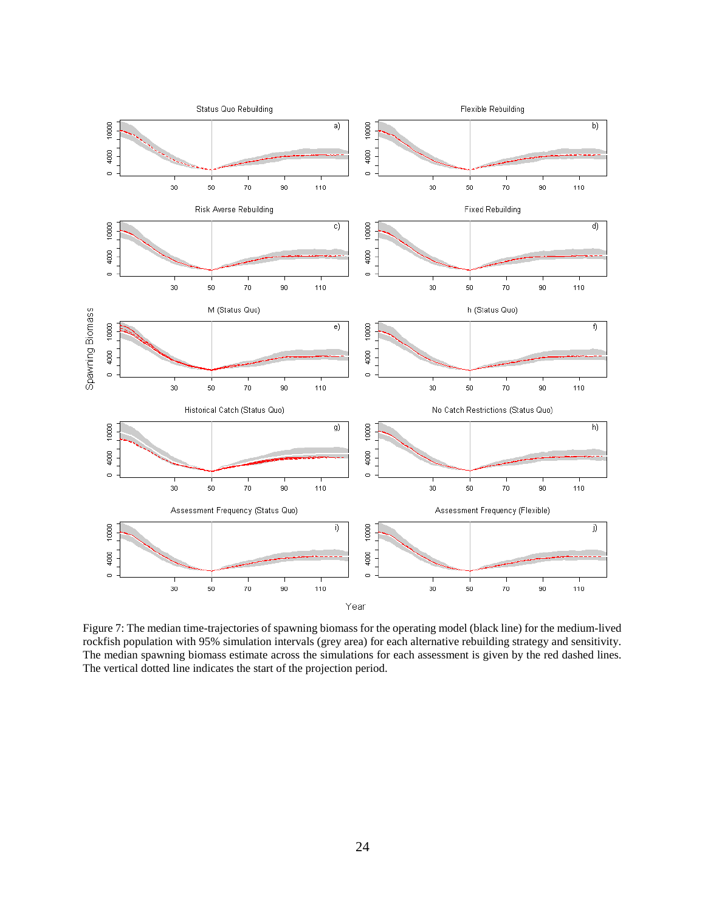

Figure 7: The median time-trajectories of spawning biomass for the operating model (black line) for the medium-lived rockfish population with 95% simulation intervals (grey area) for each alternative rebuilding strategy and sensitivity. The median spawning biomass estimate across the simulations for each assessment is given by the red dashed lines. The vertical dotted line indicates the start of the projection period.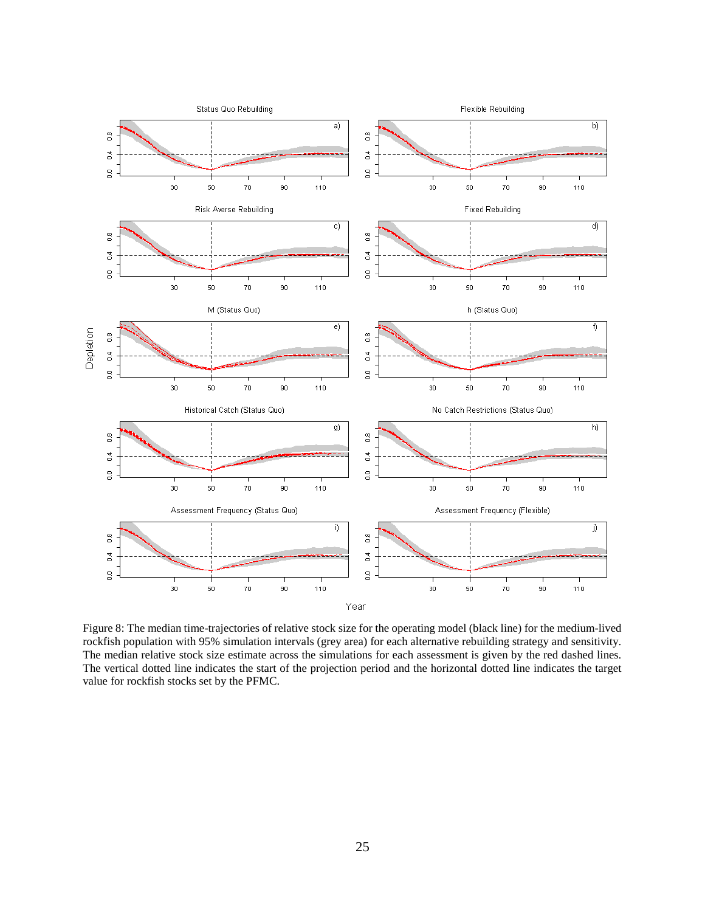

Figure 8: The median time-trajectories of relative stock size for the operating model (black line) for the medium-lived rockfish population with 95% simulation intervals (grey area) for each alternative rebuilding strategy and sensitivity. The median relative stock size estimate across the simulations for each assessment is given by the red dashed lines. The vertical dotted line indicates the start of the projection period and the horizontal dotted line indicates the target value for rockfish stocks set by the PFMC.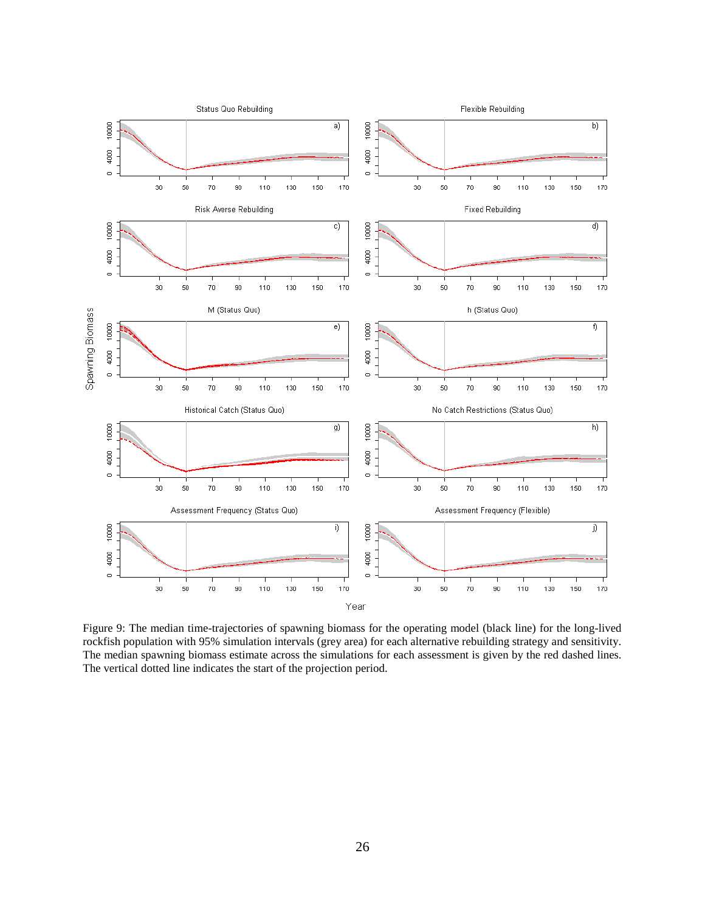

Figure 9: The median time-trajectories of spawning biomass for the operating model (black line) for the long-lived rockfish population with 95% simulation intervals (grey area) for each alternative rebuilding strategy and sensitivity. The median spawning biomass estimate across the simulations for each assessment is given by the red dashed lines. The vertical dotted line indicates the start of the projection period.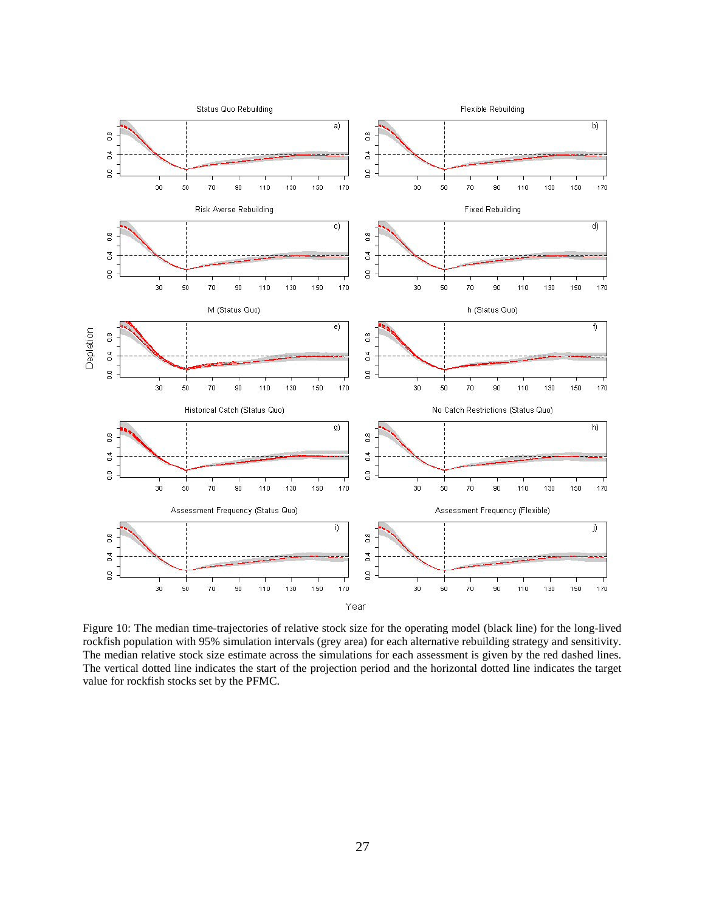

Figure 10: The median time-trajectories of relative stock size for the operating model (black line) for the long-lived rockfish population with 95% simulation intervals (grey area) for each alternative rebuilding strategy and sensitivity. The median relative stock size estimate across the simulations for each assessment is given by the red dashed lines. The vertical dotted line indicates the start of the projection period and the horizontal dotted line indicates the target value for rockfish stocks set by the PFMC.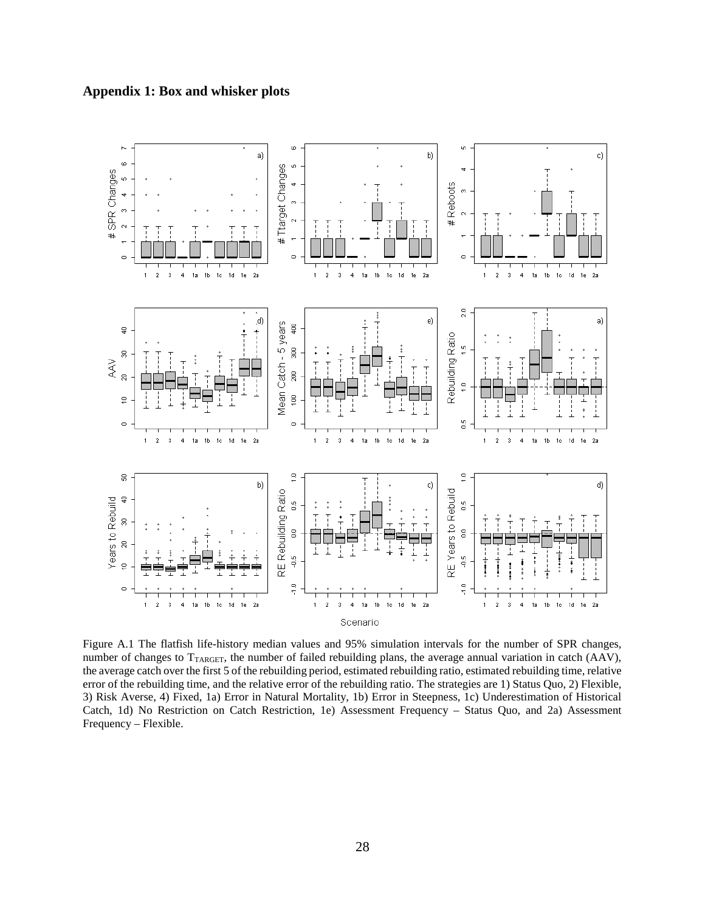



Figure A.1 The flatfish life-history median values and 95% simulation intervals for the number of SPR changes, number of changes to TTARGET, the number of failed rebuilding plans, the average annual variation in catch (AAV), the average catch over the first 5 of the rebuilding period, estimated rebuilding ratio, estimated rebuilding time, relative error of the rebuilding time, and the relative error of the rebuilding ratio. The strategies are 1) Status Quo, 2) Flexible, 3) Risk Averse, 4) Fixed, 1a) Error in Natural Mortality, 1b) Error in Steepness, 1c) Underestimation of Historical Catch, 1d) No Restriction on Catch Restriction, 1e) Assessment Frequency – Status Quo, and 2a) Assessment Frequency – Flexible.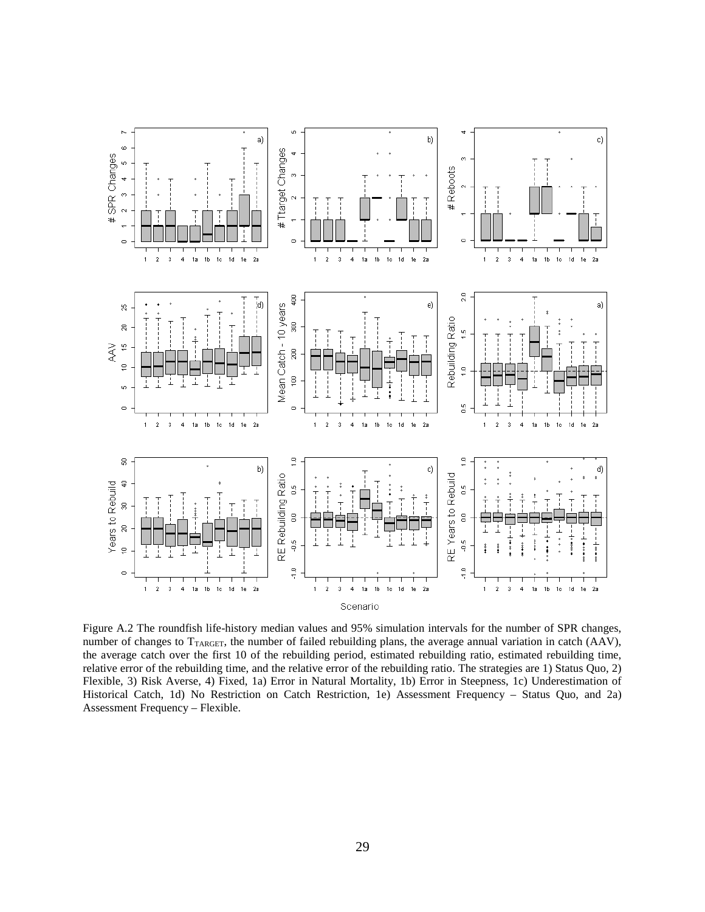

Figure A.2 The roundfish life-history median values and 95% simulation intervals for the number of SPR changes, number of changes to T<sub>TARGET</sub>, the number of failed rebuilding plans, the average annual variation in catch (AAV), the average catch over the first 10 of the rebuilding period, estimated rebuilding ratio, estimated rebuilding time, relative error of the rebuilding time, and the relative error of the rebuilding ratio. The strategies are 1) Status Quo, 2) Flexible, 3) Risk Averse, 4) Fixed, 1a) Error in Natural Mortality, 1b) Error in Steepness, 1c) Underestimation of Historical Catch, 1d) No Restriction on Catch Restriction, 1e) Assessment Frequency – Status Quo, and 2a) Assessment Frequency – Flexible.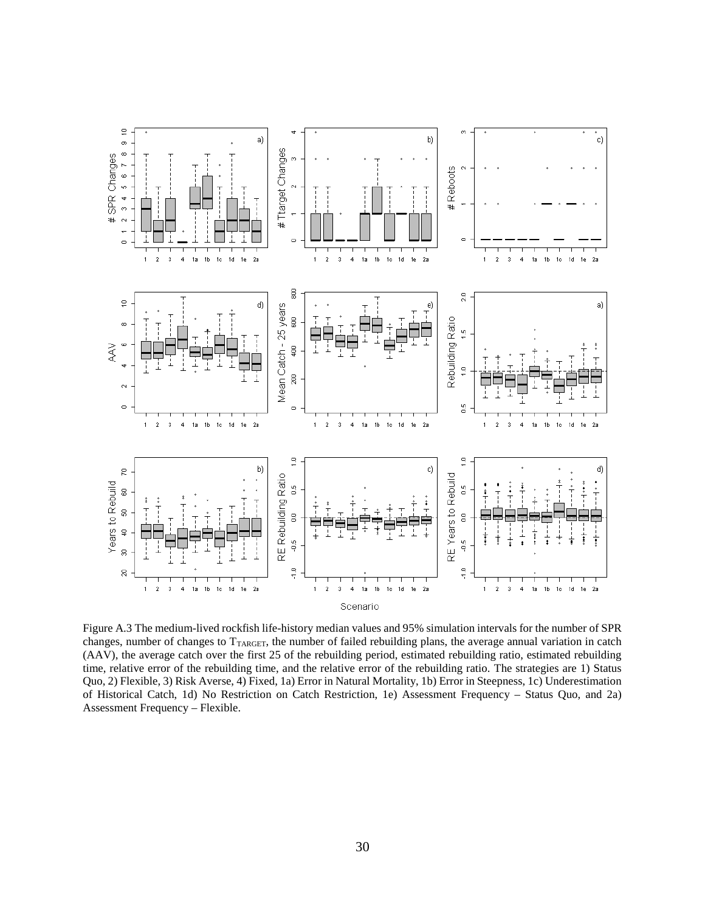

Figure A.3 The medium-lived rockfish life-history median values and 95% simulation intervals for the number of SPR changes, number of changes to TTARGET, the number of failed rebuilding plans, the average annual variation in catch (AAV), the average catch over the first 25 of the rebuilding period, estimated rebuilding ratio, estimated rebuilding time, relative error of the rebuilding time, and the relative error of the rebuilding ratio. The strategies are 1) Status Quo, 2) Flexible, 3) Risk Averse, 4) Fixed, 1a) Error in Natural Mortality, 1b) Error in Steepness, 1c) Underestimation of Historical Catch, 1d) No Restriction on Catch Restriction, 1e) Assessment Frequency – Status Quo, and 2a) Assessment Frequency – Flexible.